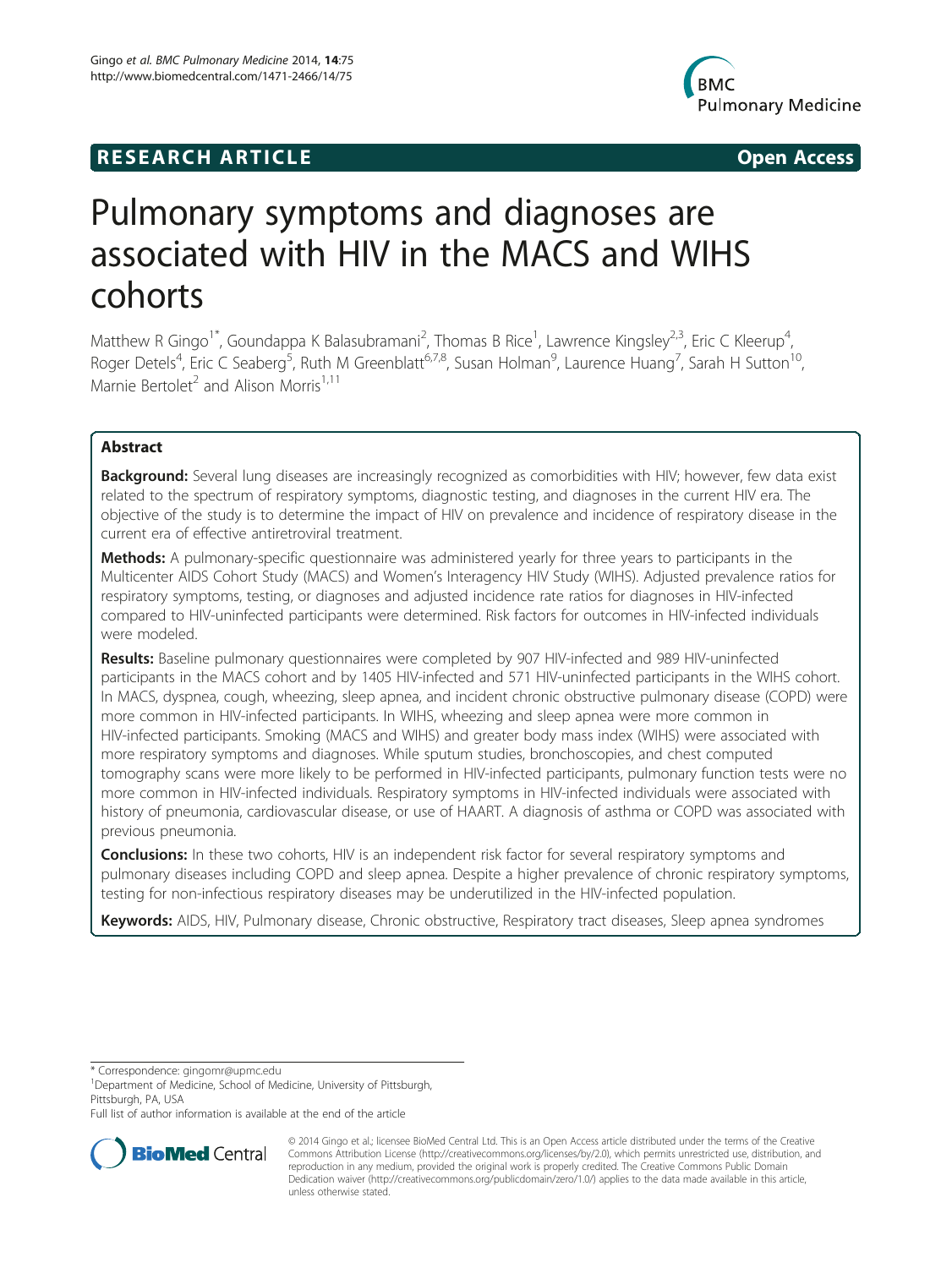# **RESEARCH ARTICLE Example 2014 The SEAR CH ACCESS**



# Pulmonary symptoms and diagnoses are associated with HIV in the MACS and WIHS cohorts

Matthew R Gingo<sup>1\*</sup>, Goundappa K Balasubramani<sup>2</sup>, Thomas B Rice<sup>1</sup>, Lawrence Kingsley<sup>2,3</sup>, Eric C Kleerup<sup>4</sup> , Roger Detels<sup>4</sup>, Eric C Seaberg<sup>5</sup>, Ruth M Greenblatt<sup>6,7,8</sup>, Susan Holman<sup>9</sup>, Laurence Huang<sup>7</sup>, Sarah H Sutton<sup>10</sup>, Marnie Bertolet<sup>2</sup> and Alison Morris<sup>1,11</sup>

# Abstract

Background: Several lung diseases are increasingly recognized as comorbidities with HIV; however, few data exist related to the spectrum of respiratory symptoms, diagnostic testing, and diagnoses in the current HIV era. The objective of the study is to determine the impact of HIV on prevalence and incidence of respiratory disease in the current era of effective antiretroviral treatment.

Methods: A pulmonary-specific questionnaire was administered yearly for three years to participants in the Multicenter AIDS Cohort Study (MACS) and Women's Interagency HIV Study (WIHS). Adjusted prevalence ratios for respiratory symptoms, testing, or diagnoses and adjusted incidence rate ratios for diagnoses in HIV-infected compared to HIV-uninfected participants were determined. Risk factors for outcomes in HIV-infected individuals were modeled.

Results: Baseline pulmonary questionnaires were completed by 907 HIV-infected and 989 HIV-uninfected participants in the MACS cohort and by 1405 HIV-infected and 571 HIV-uninfected participants in the WIHS cohort. In MACS, dyspnea, cough, wheezing, sleep apnea, and incident chronic obstructive pulmonary disease (COPD) were more common in HIV-infected participants. In WIHS, wheezing and sleep apnea were more common in HIV-infected participants. Smoking (MACS and WIHS) and greater body mass index (WIHS) were associated with more respiratory symptoms and diagnoses. While sputum studies, bronchoscopies, and chest computed tomography scans were more likely to be performed in HIV-infected participants, pulmonary function tests were no more common in HIV-infected individuals. Respiratory symptoms in HIV-infected individuals were associated with history of pneumonia, cardiovascular disease, or use of HAART. A diagnosis of asthma or COPD was associated with previous pneumonia.

**Conclusions:** In these two cohorts, HIV is an independent risk factor for several respiratory symptoms and pulmonary diseases including COPD and sleep apnea. Despite a higher prevalence of chronic respiratory symptoms, testing for non-infectious respiratory diseases may be underutilized in the HIV-infected population.

Keywords: AIDS, HIV, Pulmonary disease, Chronic obstructive, Respiratory tract diseases, Sleep apnea syndromes

\* Correspondence: [gingomr@upmc.edu](mailto:gingomr@upmc.edu) <sup>1</sup>

<sup>1</sup>Department of Medicine, School of Medicine, University of Pittsburgh, Pittsburgh, PA, USA

Full list of author information is available at the end of the article



<sup>© 2014</sup> Gingo et al.; licensee BioMed Central Ltd. This is an Open Access article distributed under the terms of the Creative Commons Attribution License [\(http://creativecommons.org/licenses/by/2.0\)](http://creativecommons.org/licenses/by/2.0), which permits unrestricted use, distribution, and reproduction in any medium, provided the original work is properly credited. The Creative Commons Public Domain Dedication waiver [\(http://creativecommons.org/publicdomain/zero/1.0/](http://creativecommons.org/publicdomain/zero/1.0/)) applies to the data made available in this article, unless otherwise stated.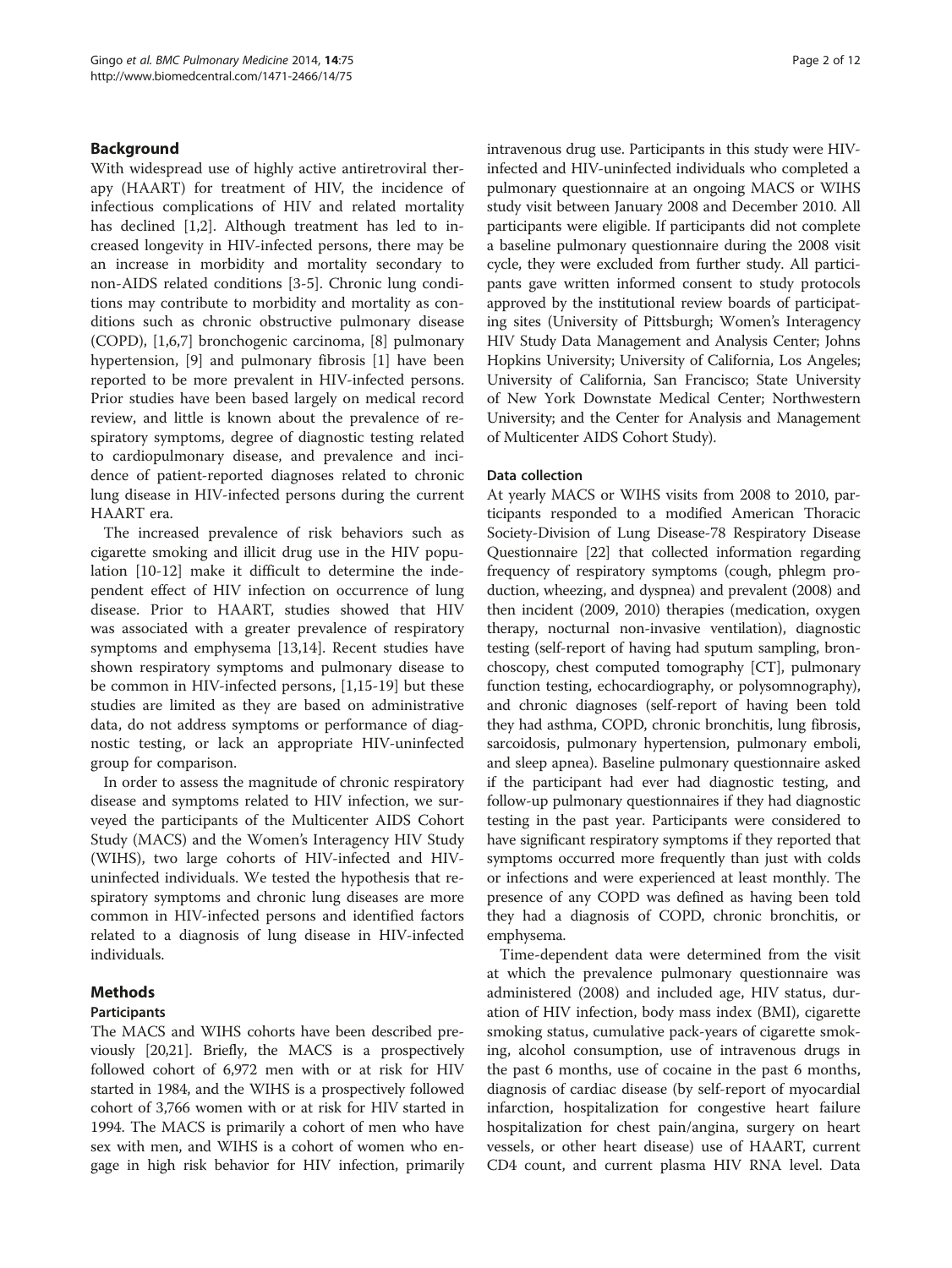# Background

With widespread use of highly active antiretroviral therapy (HAART) for treatment of HIV, the incidence of infectious complications of HIV and related mortality has declined [\[1,2](#page-9-0)]. Although treatment has led to increased longevity in HIV-infected persons, there may be an increase in morbidity and mortality secondary to non-AIDS related conditions [\[3](#page-9-0)-[5\]](#page-9-0). Chronic lung conditions may contribute to morbidity and mortality as conditions such as chronic obstructive pulmonary disease (COPD), [[1,6,7\]](#page-9-0) bronchogenic carcinoma, [[8\]](#page-9-0) pulmonary hypertension, [\[9](#page-9-0)] and pulmonary fibrosis [\[1](#page-9-0)] have been reported to be more prevalent in HIV-infected persons. Prior studies have been based largely on medical record review, and little is known about the prevalence of respiratory symptoms, degree of diagnostic testing related to cardiopulmonary disease, and prevalence and incidence of patient-reported diagnoses related to chronic lung disease in HIV-infected persons during the current HAART era.

The increased prevalence of risk behaviors such as cigarette smoking and illicit drug use in the HIV population [[10-12](#page-10-0)] make it difficult to determine the independent effect of HIV infection on occurrence of lung disease. Prior to HAART, studies showed that HIV was associated with a greater prevalence of respiratory symptoms and emphysema [[13,14\]](#page-10-0). Recent studies have shown respiratory symptoms and pulmonary disease to be common in HIV-infected persons, [\[1](#page-9-0)[,15](#page-10-0)-[19\]](#page-10-0) but these studies are limited as they are based on administrative data, do not address symptoms or performance of diagnostic testing, or lack an appropriate HIV-uninfected group for comparison.

In order to assess the magnitude of chronic respiratory disease and symptoms related to HIV infection, we surveyed the participants of the Multicenter AIDS Cohort Study (MACS) and the Women's Interagency HIV Study (WIHS), two large cohorts of HIV-infected and HIVuninfected individuals. We tested the hypothesis that respiratory symptoms and chronic lung diseases are more common in HIV-infected persons and identified factors related to a diagnosis of lung disease in HIV-infected individuals.

# Methods

# Participants

The MACS and WIHS cohorts have been described previously [\[20,21](#page-10-0)]. Briefly, the MACS is a prospectively followed cohort of 6,972 men with or at risk for HIV started in 1984, and the WIHS is a prospectively followed cohort of 3,766 women with or at risk for HIV started in 1994. The MACS is primarily a cohort of men who have sex with men, and WIHS is a cohort of women who engage in high risk behavior for HIV infection, primarily intravenous drug use. Participants in this study were HIVinfected and HIV-uninfected individuals who completed a pulmonary questionnaire at an ongoing MACS or WIHS study visit between January 2008 and December 2010. All participants were eligible. If participants did not complete a baseline pulmonary questionnaire during the 2008 visit cycle, they were excluded from further study. All participants gave written informed consent to study protocols approved by the institutional review boards of participating sites (University of Pittsburgh; Women's Interagency HIV Study Data Management and Analysis Center; Johns Hopkins University; University of California, Los Angeles; University of California, San Francisco; State University of New York Downstate Medical Center; Northwestern University; and the Center for Analysis and Management of Multicenter AIDS Cohort Study).

# Data collection

At yearly MACS or WIHS visits from 2008 to 2010, participants responded to a modified American Thoracic Society-Division of Lung Disease-78 Respiratory Disease Questionnaire [\[22\]](#page-10-0) that collected information regarding frequency of respiratory symptoms (cough, phlegm production, wheezing, and dyspnea) and prevalent (2008) and then incident (2009, 2010) therapies (medication, oxygen therapy, nocturnal non-invasive ventilation), diagnostic testing (self-report of having had sputum sampling, bronchoscopy, chest computed tomography [CT], pulmonary function testing, echocardiography, or polysomnography), and chronic diagnoses (self-report of having been told they had asthma, COPD, chronic bronchitis, lung fibrosis, sarcoidosis, pulmonary hypertension, pulmonary emboli, and sleep apnea). Baseline pulmonary questionnaire asked if the participant had ever had diagnostic testing, and follow-up pulmonary questionnaires if they had diagnostic testing in the past year. Participants were considered to have significant respiratory symptoms if they reported that symptoms occurred more frequently than just with colds or infections and were experienced at least monthly. The presence of any COPD was defined as having been told they had a diagnosis of COPD, chronic bronchitis, or emphysema.

Time-dependent data were determined from the visit at which the prevalence pulmonary questionnaire was administered (2008) and included age, HIV status, duration of HIV infection, body mass index (BMI), cigarette smoking status, cumulative pack-years of cigarette smoking, alcohol consumption, use of intravenous drugs in the past 6 months, use of cocaine in the past 6 months, diagnosis of cardiac disease (by self-report of myocardial infarction, hospitalization for congestive heart failure hospitalization for chest pain/angina, surgery on heart vessels, or other heart disease) use of HAART, current CD4 count, and current plasma HIV RNA level. Data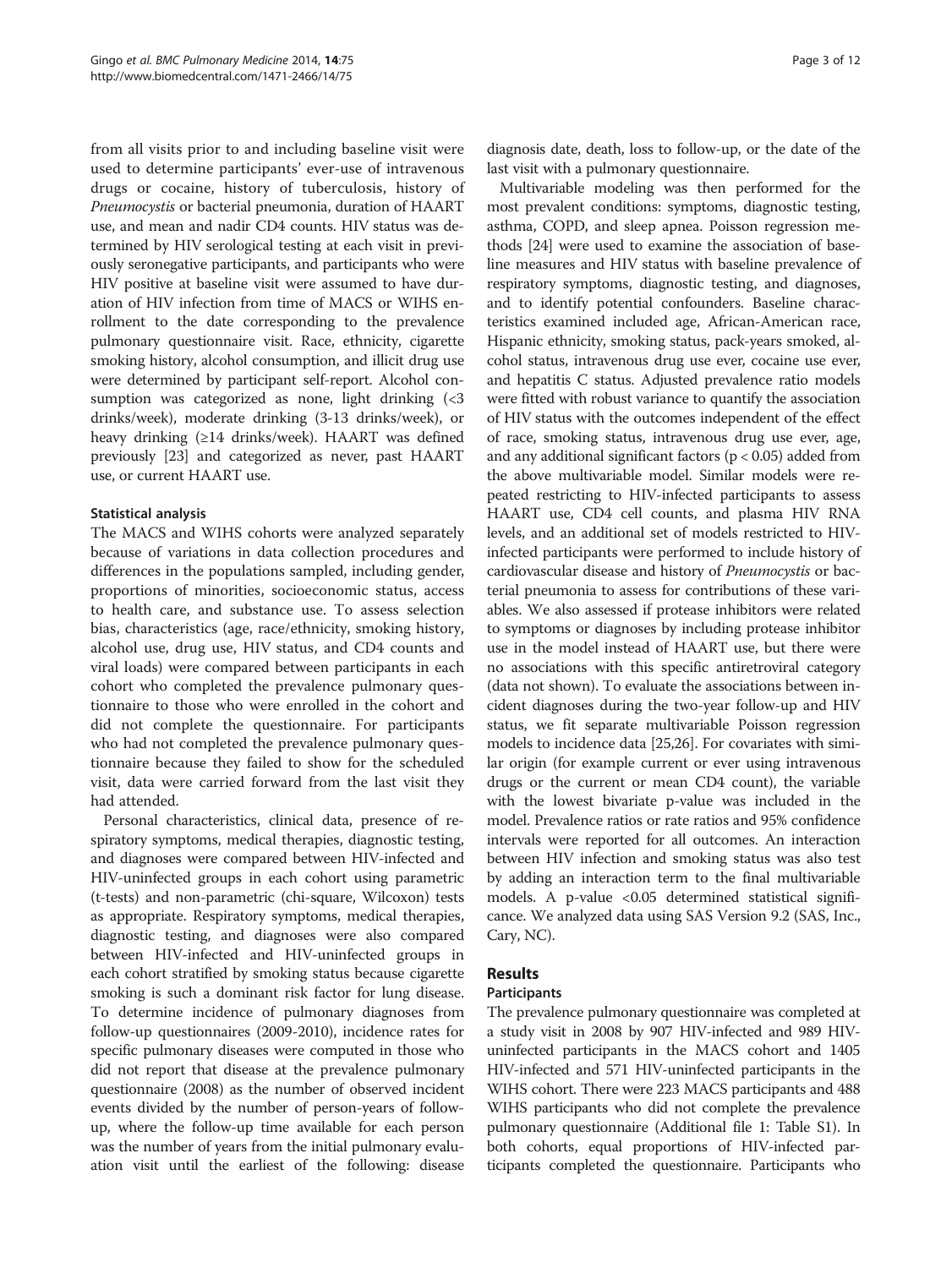from all visits prior to and including baseline visit were used to determine participants' ever-use of intravenous drugs or cocaine, history of tuberculosis, history of Pneumocystis or bacterial pneumonia, duration of HAART use, and mean and nadir CD4 counts. HIV status was determined by HIV serological testing at each visit in previously seronegative participants, and participants who were HIV positive at baseline visit were assumed to have duration of HIV infection from time of MACS or WIHS enrollment to the date corresponding to the prevalence pulmonary questionnaire visit. Race, ethnicity, cigarette smoking history, alcohol consumption, and illicit drug use were determined by participant self-report. Alcohol consumption was categorized as none, light drinking  $\langle$ <3 drinks/week), moderate drinking (3-13 drinks/week), or heavy drinking (≥14 drinks/week). HAART was defined previously [[23](#page-10-0)] and categorized as never, past HAART use, or current HAART use.

# Statistical analysis

The MACS and WIHS cohorts were analyzed separately because of variations in data collection procedures and differences in the populations sampled, including gender, proportions of minorities, socioeconomic status, access to health care, and substance use. To assess selection bias, characteristics (age, race/ethnicity, smoking history, alcohol use, drug use, HIV status, and CD4 counts and viral loads) were compared between participants in each cohort who completed the prevalence pulmonary questionnaire to those who were enrolled in the cohort and did not complete the questionnaire. For participants who had not completed the prevalence pulmonary questionnaire because they failed to show for the scheduled visit, data were carried forward from the last visit they had attended.

Personal characteristics, clinical data, presence of respiratory symptoms, medical therapies, diagnostic testing, and diagnoses were compared between HIV-infected and HIV-uninfected groups in each cohort using parametric (t-tests) and non-parametric (chi-square, Wilcoxon) tests as appropriate. Respiratory symptoms, medical therapies, diagnostic testing, and diagnoses were also compared between HIV-infected and HIV-uninfected groups in each cohort stratified by smoking status because cigarette smoking is such a dominant risk factor for lung disease. To determine incidence of pulmonary diagnoses from follow-up questionnaires (2009-2010), incidence rates for specific pulmonary diseases were computed in those who did not report that disease at the prevalence pulmonary questionnaire (2008) as the number of observed incident events divided by the number of person-years of followup, where the follow-up time available for each person was the number of years from the initial pulmonary evaluation visit until the earliest of the following: disease

diagnosis date, death, loss to follow-up, or the date of the last visit with a pulmonary questionnaire.

Multivariable modeling was then performed for the most prevalent conditions: symptoms, diagnostic testing, asthma, COPD, and sleep apnea. Poisson regression methods [\[24](#page-10-0)] were used to examine the association of baseline measures and HIV status with baseline prevalence of respiratory symptoms, diagnostic testing, and diagnoses, and to identify potential confounders. Baseline characteristics examined included age, African-American race, Hispanic ethnicity, smoking status, pack-years smoked, alcohol status, intravenous drug use ever, cocaine use ever, and hepatitis C status. Adjusted prevalence ratio models were fitted with robust variance to quantify the association of HIV status with the outcomes independent of the effect of race, smoking status, intravenous drug use ever, age, and any additional significant factors ( $p < 0.05$ ) added from the above multivariable model. Similar models were repeated restricting to HIV-infected participants to assess HAART use, CD4 cell counts, and plasma HIV RNA levels, and an additional set of models restricted to HIVinfected participants were performed to include history of cardiovascular disease and history of Pneumocystis or bacterial pneumonia to assess for contributions of these variables. We also assessed if protease inhibitors were related to symptoms or diagnoses by including protease inhibitor use in the model instead of HAART use, but there were no associations with this specific antiretroviral category (data not shown). To evaluate the associations between incident diagnoses during the two-year follow-up and HIV status, we fit separate multivariable Poisson regression models to incidence data [\[25,26\]](#page-10-0). For covariates with similar origin (for example current or ever using intravenous drugs or the current or mean CD4 count), the variable with the lowest bivariate p-value was included in the model. Prevalence ratios or rate ratios and 95% confidence intervals were reported for all outcomes. An interaction between HIV infection and smoking status was also test by adding an interaction term to the final multivariable models. A p-value <0.05 determined statistical significance. We analyzed data using SAS Version 9.2 (SAS, Inc., Cary, NC).

# Results

#### **Participants**

The prevalence pulmonary questionnaire was completed at a study visit in 2008 by 907 HIV-infected and 989 HIVuninfected participants in the MACS cohort and 1405 HIV-infected and 571 HIV-uninfected participants in the WIHS cohort. There were 223 MACS participants and 488 WIHS participants who did not complete the prevalence pulmonary questionnaire (Additional file [1](#page-8-0): Table S1). In both cohorts, equal proportions of HIV-infected participants completed the questionnaire. Participants who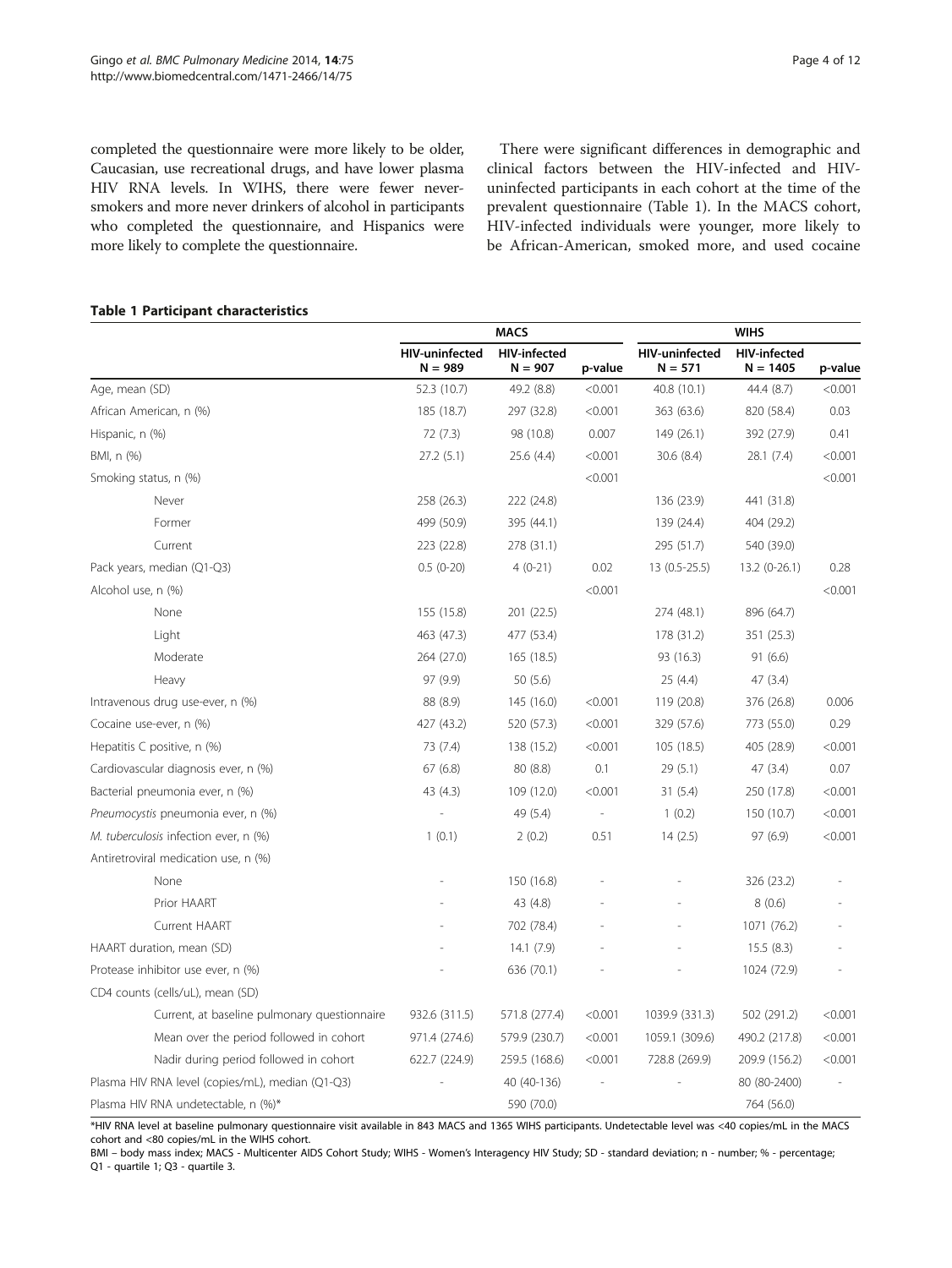completed the questionnaire were more likely to be older, Caucasian, use recreational drugs, and have lower plasma HIV RNA levels. In WIHS, there were fewer neversmokers and more never drinkers of alcohol in participants who completed the questionnaire, and Hispanics were more likely to complete the questionnaire.

There were significant differences in demographic and clinical factors between the HIV-infected and HIVuninfected participants in each cohort at the time of the prevalent questionnaire (Table 1). In the MACS cohort, HIV-infected individuals were younger, more likely to be African-American, smoked more, and used cocaine

#### Table 1 Participant characteristics

|                                                  |                             | <b>MACS</b>                      | <b>WIHS</b>              |                                    |                                   |         |
|--------------------------------------------------|-----------------------------|----------------------------------|--------------------------|------------------------------------|-----------------------------------|---------|
|                                                  | HIV-uninfected<br>$N = 989$ | <b>HIV-infected</b><br>$N = 907$ | p-value                  | <b>HIV-uninfected</b><br>$N = 571$ | <b>HIV-infected</b><br>$N = 1405$ | p-value |
| Age, mean (SD)                                   | 52.3 (10.7)                 | 49.2 (8.8)                       | < 0.001                  | 40.8 (10.1)                        | 44.4 (8.7)                        | < 0.001 |
| African American, n (%)                          | 185 (18.7)                  | 297 (32.8)                       | < 0.001                  | 363 (63.6)                         | 820 (58.4)                        | 0.03    |
| Hispanic, n (%)                                  | 72(7.3)                     | 98 (10.8)                        | 0.007                    | 149 (26.1)                         | 392 (27.9)                        | 0.41    |
| BMI, n (%)                                       | 27.2(5.1)                   | 25.6(4.4)                        | < 0.001                  | 30.6(8.4)                          | 28.1(7.4)                         | < 0.001 |
| Smoking status, n (%)                            |                             |                                  | < 0.001                  |                                    |                                   | < 0.001 |
| Never                                            | 258 (26.3)                  | 222 (24.8)                       |                          | 136 (23.9)                         | 441 (31.8)                        |         |
| Former                                           | 499 (50.9)                  | 395 (44.1)                       |                          | 139 (24.4)                         | 404 (29.2)                        |         |
| Current                                          | 223 (22.8)                  | 278 (31.1)                       |                          | 295 (51.7)                         | 540 (39.0)                        |         |
| Pack years, median (Q1-Q3)                       | $0.5(0-20)$                 | $4(0-21)$                        | 0.02                     | $13(0.5-25.5)$                     | $13.2(0-26.1)$                    | 0.28    |
| Alcohol use, n (%)                               |                             |                                  | < 0.001                  |                                    |                                   | < 0.001 |
| None                                             | 155 (15.8)                  | 201 (22.5)                       |                          | 274 (48.1)                         | 896 (64.7)                        |         |
| Light                                            | 463 (47.3)                  | 477 (53.4)                       |                          | 178 (31.2)                         | 351 (25.3)                        |         |
| Moderate                                         | 264 (27.0)                  | 165 (18.5)                       |                          | 93 (16.3)                          | 91 (6.6)                          |         |
| Heavy                                            | 97 (9.9)                    | 50(5.6)                          |                          | 25 (4.4)                           | 47(3.4)                           |         |
| Intravenous drug use-ever, n (%)                 | 88 (8.9)                    | 145 (16.0)                       | < 0.001                  | 119 (20.8)                         | 376 (26.8)                        | 0.006   |
| Cocaine use-ever, n (%)                          | 427 (43.2)                  | 520 (57.3)                       | < 0.001                  | 329 (57.6)                         | 773 (55.0)                        | 0.29    |
| Hepatitis C positive, n (%)                      | 73 (7.4)                    | 138 (15.2)                       | < 0.001                  | 105 (18.5)                         | 405 (28.9)                        | < 0.001 |
| Cardiovascular diagnosis ever, n (%)             | 67(6.8)                     | 80 (8.8)                         | 0.1                      | 29(5.1)                            | 47(3.4)                           | 0.07    |
| Bacterial pneumonia ever, n (%)                  | 43 (4.3)                    | 109 (12.0)                       | < 0.001                  | 31(5.4)                            | 250 (17.8)                        | < 0.001 |
| Pneumocystis pneumonia ever, n (%)               |                             | 49 (5.4)                         | $\overline{\phantom{a}}$ | 1(0.2)                             | 150 (10.7)                        | < 0.001 |
| M. tuberculosis infection ever, n (%)            | 1(0.1)                      | 2(0.2)                           | 0.51                     | 14(2.5)                            | 97 (6.9)                          | < 0.001 |
| Antiretroviral medication use, n (%)             |                             |                                  |                          |                                    |                                   |         |
| None                                             |                             | 150 (16.8)                       |                          |                                    | 326 (23.2)                        |         |
| Prior HAART                                      |                             | 43 (4.8)                         |                          |                                    | 8(0.6)                            |         |
| Current HAART                                    |                             | 702 (78.4)                       |                          |                                    | 1071 (76.2)                       |         |
| HAART duration, mean (SD)                        |                             | 14.1(7.9)                        |                          |                                    | 15.5(8.3)                         |         |
| Protease inhibitor use ever, n (%)               |                             | 636 (70.1)                       |                          |                                    | 1024 (72.9)                       |         |
| CD4 counts (cells/uL), mean (SD)                 |                             |                                  |                          |                                    |                                   |         |
| Current, at baseline pulmonary questionnaire     | 932.6 (311.5)               | 571.8 (277.4)                    | < 0.001                  | 1039.9 (331.3)                     | 502 (291.2)                       | < 0.001 |
| Mean over the period followed in cohort          | 971.4 (274.6)               | 579.9 (230.7)                    | < 0.001                  | 1059.1 (309.6)                     | 490.2 (217.8)                     | < 0.001 |
| Nadir during period followed in cohort           | 622.7 (224.9)               | 259.5 (168.6)                    | < 0.001                  | 728.8 (269.9)                      | 209.9 (156.2)                     | < 0.001 |
| Plasma HIV RNA level (copies/mL), median (Q1-Q3) |                             | 40 (40-136)                      |                          |                                    | 80 (80-2400)                      |         |
| Plasma HIV RNA undetectable, n (%)*              |                             | 590 (70.0)                       |                          |                                    | 764 (56.0)                        |         |

\*HIV RNA level at baseline pulmonary questionnaire visit available in 843 MACS and 1365 WIHS participants. Undetectable level was <40 copies/mL in the MACS cohort and <80 copies/mL in the WIHS cohort.

BMI – body mass index; MACS - Multicenter AIDS Cohort Study; WIHS - Women's Interagency HIV Study; SD - standard deviation; n - number; % - percentage; Q1 - quartile 1; Q3 - quartile 3.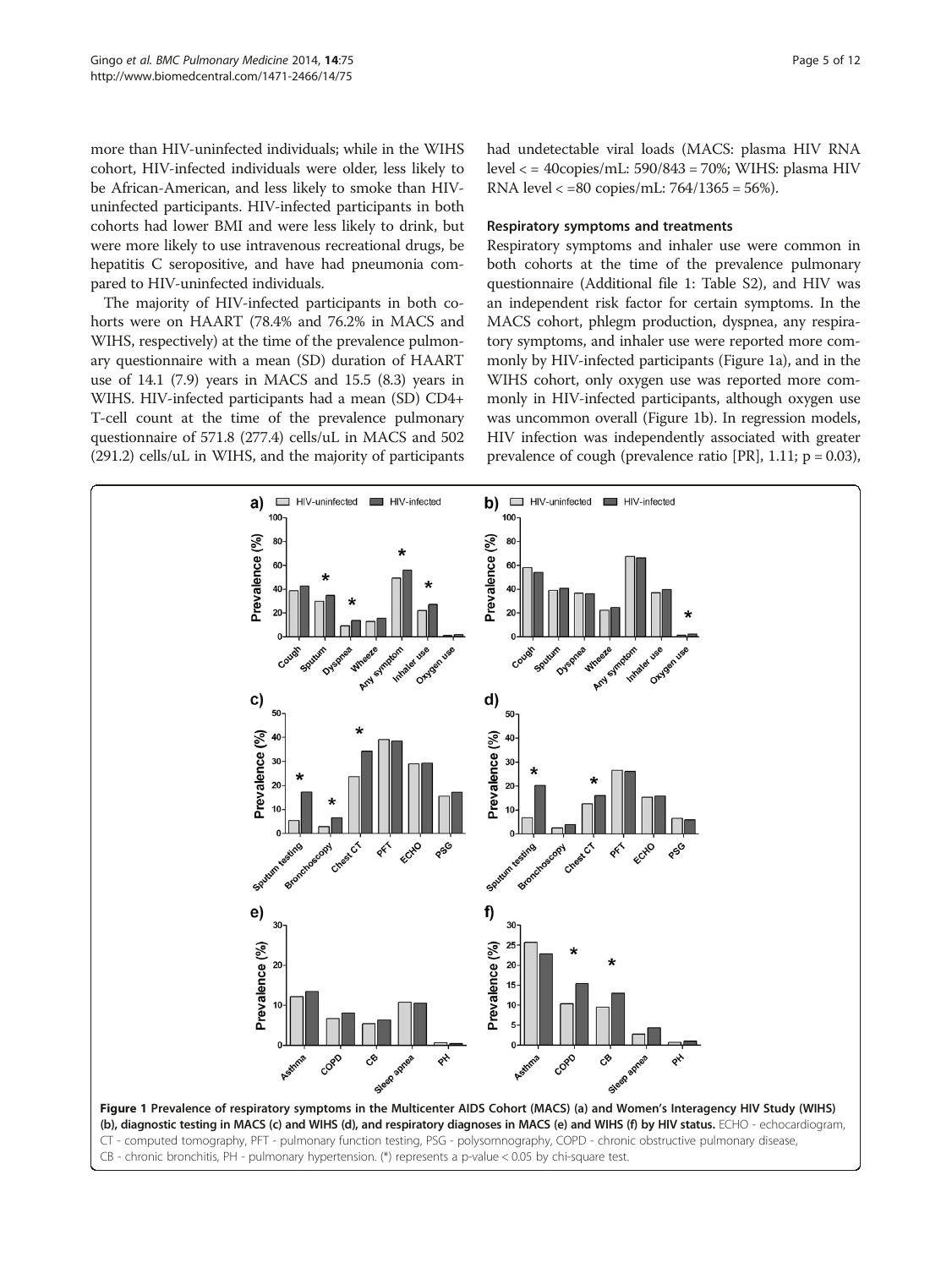<span id="page-4-0"></span>more than HIV-uninfected individuals; while in the WIHS cohort, HIV-infected individuals were older, less likely to be African-American, and less likely to smoke than HIVuninfected participants. HIV-infected participants in both cohorts had lower BMI and were less likely to drink, but were more likely to use intravenous recreational drugs, be hepatitis C seropositive, and have had pneumonia compared to HIV-uninfected individuals.

The majority of HIV-infected participants in both cohorts were on HAART (78.4% and 76.2% in MACS and WIHS, respectively) at the time of the prevalence pulmonary questionnaire with a mean (SD) duration of HAART use of 14.1 (7.9) years in MACS and 15.5 (8.3) years in WIHS. HIV-infected participants had a mean (SD) CD4+ T-cell count at the time of the prevalence pulmonary questionnaire of 571.8 (277.4) cells/uL in MACS and 502 (291.2) cells/uL in WIHS, and the majority of participants

a) El HIV-uninfected

 $10<sub>0</sub>$ 

80

60

HIV-infected

b)

 $100<sub>1</sub>$ 

80

60

had undetectable viral loads (MACS: plasma HIV RNA level < = 40copies/mL: 590/843 = 70%; WIHS: plasma HIV RNA level < =80 copies/mL: 764/1365 = 56%).

#### Respiratory symptoms and treatments

HIV-uninfected HIV-infected

Respiratory symptoms and inhaler use were common in both cohorts at the time of the prevalence pulmonary questionnaire (Additional file [1](#page-8-0): Table S2), and HIV was an independent risk factor for certain symptoms. In the MACS cohort, phlegm production, dyspnea, any respiratory symptoms, and inhaler use were reported more commonly by HIV-infected participants (Figure 1a), and in the WIHS cohort, only oxygen use was reported more commonly in HIV-infected participants, although oxygen use was uncommon overall (Figure 1b). In regression models, HIV infection was independently associated with greater prevalence of cough (prevalence ratio [PR],  $1.11$ ;  $p = 0.03$ ),

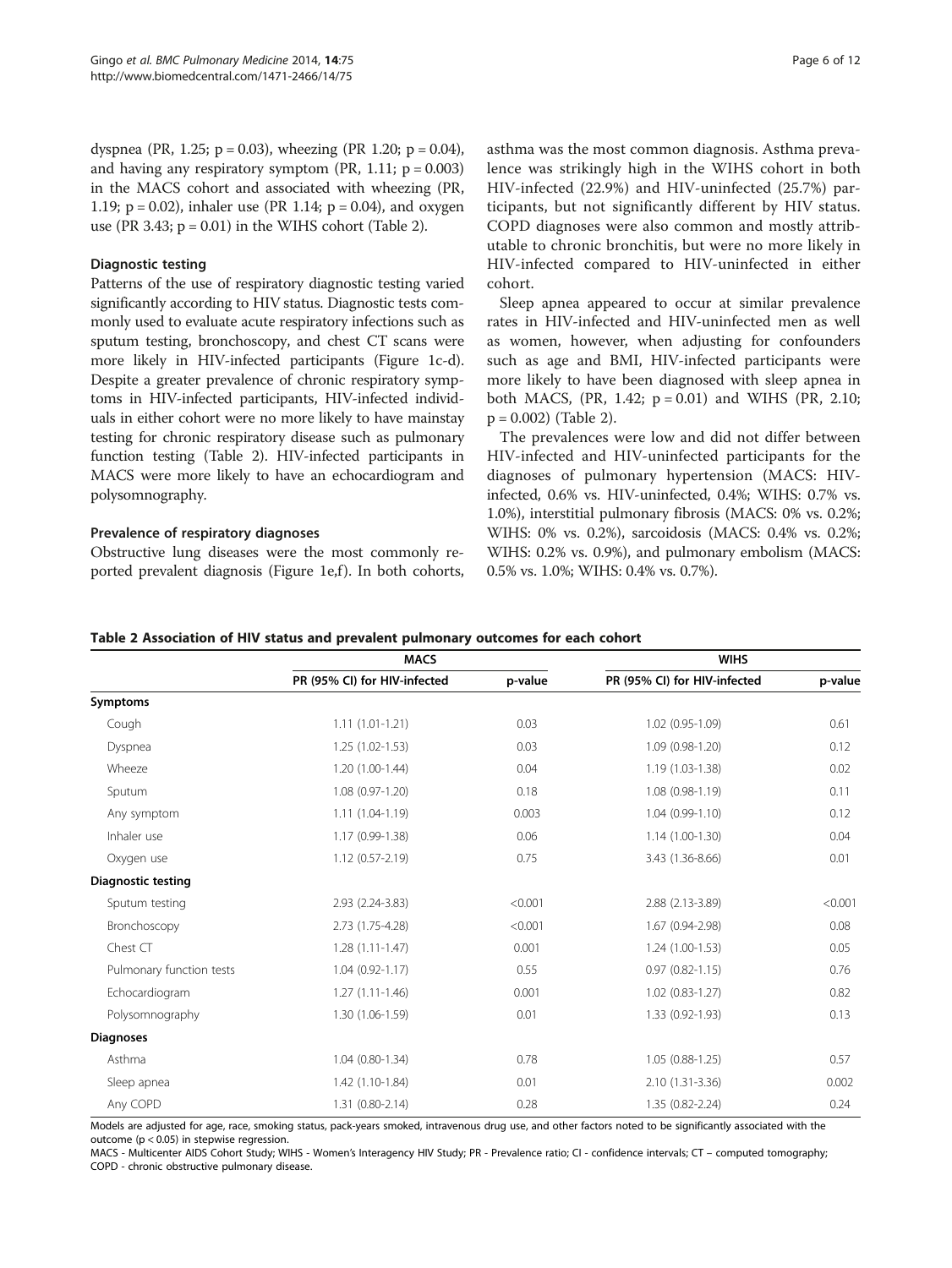dyspnea (PR, 1.25;  $p = 0.03$ ), wheezing (PR 1.20;  $p = 0.04$ ), and having any respiratory symptom (PR, 1.11;  $p = 0.003$ ) in the MACS cohort and associated with wheezing (PR, 1.19;  $p = 0.02$ ), inhaler use (PR 1.14;  $p = 0.04$ ), and oxygen use (PR 3.43;  $p = 0.01$ ) in the WIHS cohort (Table 2).

#### Diagnostic testing

Patterns of the use of respiratory diagnostic testing varied significantly according to HIV status. Diagnostic tests commonly used to evaluate acute respiratory infections such as sputum testing, bronchoscopy, and chest CT scans were more likely in HIV-infected participants (Figure [1c](#page-4-0)-d). Despite a greater prevalence of chronic respiratory symptoms in HIV-infected participants, HIV-infected individuals in either cohort were no more likely to have mainstay testing for chronic respiratory disease such as pulmonary function testing (Table 2). HIV-infected participants in MACS were more likely to have an echocardiogram and polysomnography.

# Prevalence of respiratory diagnoses

Obstructive lung diseases were the most commonly re-ported prevalent diagnosis (Figure [1e](#page-4-0),f). In both cohorts,

asthma was the most common diagnosis. Asthma prevalence was strikingly high in the WIHS cohort in both HIV-infected (22.9%) and HIV-uninfected (25.7%) participants, but not significantly different by HIV status. COPD diagnoses were also common and mostly attributable to chronic bronchitis, but were no more likely in HIV-infected compared to HIV-uninfected in either cohort.

Sleep apnea appeared to occur at similar prevalence rates in HIV-infected and HIV-uninfected men as well as women, however, when adjusting for confounders such as age and BMI, HIV-infected participants were more likely to have been diagnosed with sleep apnea in both MACS,  $(\text{PR}, 1.42; \text{p} = 0.01)$  and WIHS  $(\text{PR}, 2.10;$  $p = 0.002$ ) (Table 2).

The prevalences were low and did not differ between HIV-infected and HIV-uninfected participants for the diagnoses of pulmonary hypertension (MACS: HIVinfected, 0.6% vs. HIV-uninfected, 0.4%; WIHS: 0.7% vs. 1.0%), interstitial pulmonary fibrosis (MACS: 0% vs. 0.2%; WIHS: 0% vs. 0.2%), sarcoidosis (MACS: 0.4% vs. 0.2%; WIHS: 0.2% vs. 0.9%), and pulmonary embolism (MACS: 0.5% vs. 1.0%; WIHS: 0.4% vs. 0.7%).

| Table 2 Association of HIV status and prevalent pulmonary outcomes for each cohort |  |  |  |  |
|------------------------------------------------------------------------------------|--|--|--|--|
|                                                                                    |  |  |  |  |

|                           | <b>MACS</b>                  |         | <b>WIHS</b>                  |         |  |
|---------------------------|------------------------------|---------|------------------------------|---------|--|
|                           | PR (95% CI) for HIV-infected | p-value | PR (95% CI) for HIV-infected | p-value |  |
| <b>Symptoms</b>           |                              |         |                              |         |  |
| Cough                     | $1.11(1.01-1.21)$            | 0.03    | 1.02 (0.95-1.09)             | 0.61    |  |
| Dyspnea                   | $1.25(1.02 - 1.53)$          | 0.03    | 1.09 (0.98-1.20)             | 0.12    |  |
| Wheeze                    | 1.20 (1.00-1.44)             | 0.04    | 1.19 (1.03-1.38)             | 0.02    |  |
| Sputum                    | 1.08 (0.97-1.20)             | 0.18    | 1.08 (0.98-1.19)             | 0.11    |  |
| Any symptom               | 1.11 (1.04-1.19)             | 0.003   | $1.04(0.99-1.10)$            | 0.12    |  |
| Inhaler use               | 1.17 (0.99-1.38)             | 0.06    | $1.14(1.00-1.30)$            | 0.04    |  |
| Oxygen use                | $1.12(0.57 - 2.19)$          | 0.75    | 3.43 (1.36-8.66)             | 0.01    |  |
| <b>Diagnostic testing</b> |                              |         |                              |         |  |
| Sputum testing            | 2.93 (2.24-3.83)             | < 0.001 | 2.88 (2.13-3.89)             | < 0.001 |  |
| Bronchoscopy              | 2.73 (1.75-4.28)             | < 0.001 | 1.67 (0.94-2.98)             | 0.08    |  |
| Chest CT                  | $1.28(1.11-1.47)$            | 0.001   | $1.24(1.00-1.53)$            | 0.05    |  |
| Pulmonary function tests  | $1.04(0.92 - 1.17)$          | 0.55    | $0.97(0.82 - 1.15)$          | 0.76    |  |
| Echocardiogram            | $1.27(1.11-1.46)$            | 0.001   | $1.02(0.83 - 1.27)$          | 0.82    |  |
| Polysomnography           | 1.30 (1.06-1.59)             | 0.01    | 1.33 (0.92-1.93)             | 0.13    |  |
| <b>Diagnoses</b>          |                              |         |                              |         |  |
| Asthma                    | $1.04(0.80-1.34)$            | 0.78    | $1.05(0.88-1.25)$            | 0.57    |  |
| Sleep apnea               | 1.42 (1.10-1.84)             | 0.01    | 2.10 (1.31-3.36)             | 0.002   |  |
| Any COPD                  | 1.31 (0.80-2.14)             | 0.28    | 1.35 (0.82-2.24)             | 0.24    |  |

Models are adjusted for age, race, smoking status, pack-years smoked, intravenous drug use, and other factors noted to be significantly associated with the outcome ( $p < 0.05$ ) in stepwise regression

MACS - Multicenter AIDS Cohort Study; WIHS - Women's Interagency HIV Study; PR - Prevalence ratio; CI - confidence intervals; CT – computed tomography; COPD - chronic obstructive pulmonary disease.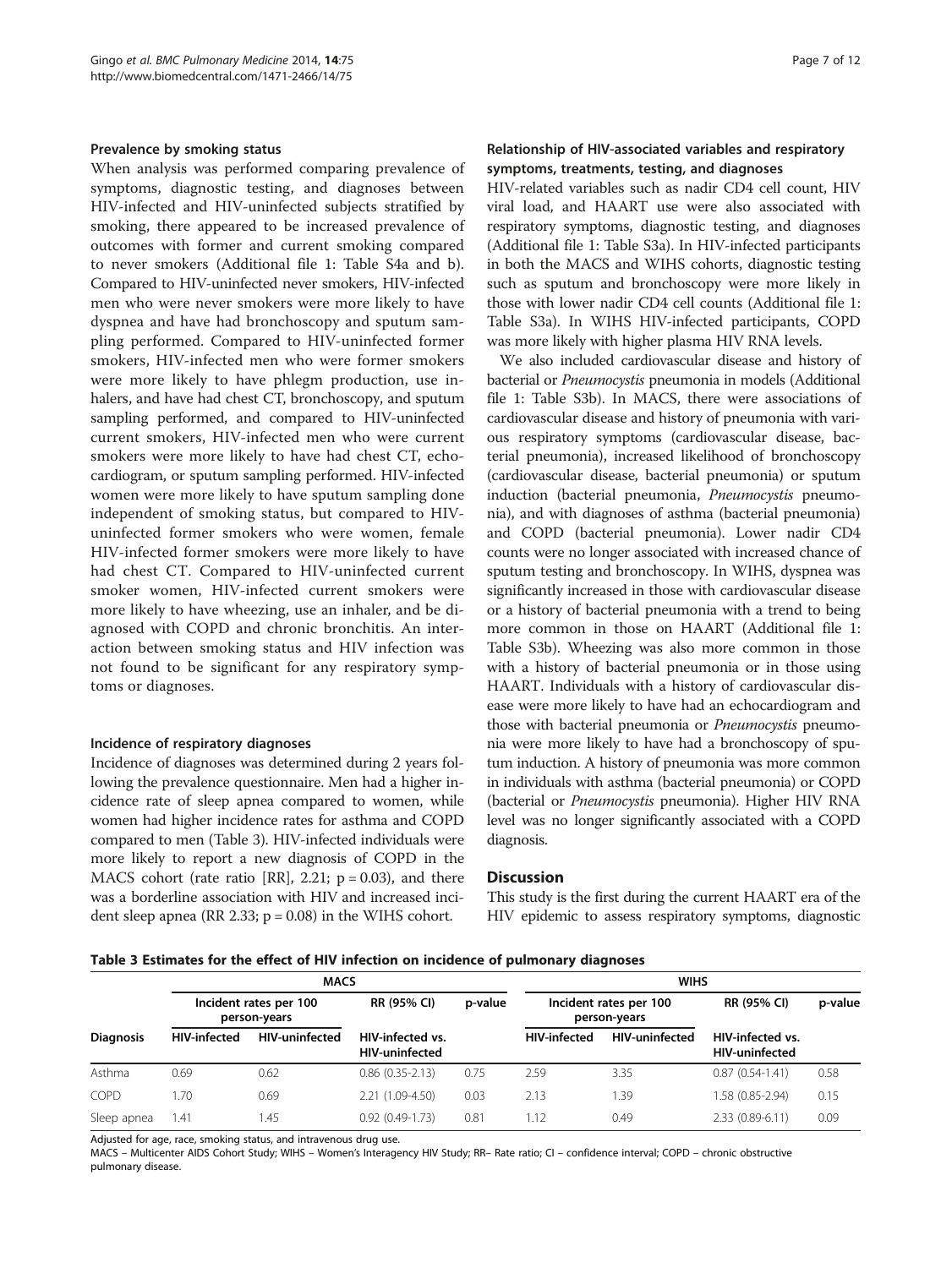#### Prevalence by smoking status

When analysis was performed comparing prevalence of symptoms, diagnostic testing, and diagnoses between HIV-infected and HIV-uninfected subjects stratified by smoking, there appeared to be increased prevalence of outcomes with former and current smoking compared to never smokers (Additional file [1](#page-8-0): Table S4a and b). Compared to HIV-uninfected never smokers, HIV-infected men who were never smokers were more likely to have dyspnea and have had bronchoscopy and sputum sampling performed. Compared to HIV-uninfected former smokers, HIV-infected men who were former smokers were more likely to have phlegm production, use inhalers, and have had chest CT, bronchoscopy, and sputum sampling performed, and compared to HIV-uninfected current smokers, HIV-infected men who were current smokers were more likely to have had chest CT, echocardiogram, or sputum sampling performed. HIV-infected women were more likely to have sputum sampling done independent of smoking status, but compared to HIVuninfected former smokers who were women, female HIV-infected former smokers were more likely to have had chest CT. Compared to HIV-uninfected current smoker women, HIV-infected current smokers were more likely to have wheezing, use an inhaler, and be diagnosed with COPD and chronic bronchitis. An interaction between smoking status and HIV infection was not found to be significant for any respiratory symptoms or diagnoses.

### Incidence of respiratory diagnoses

Incidence of diagnoses was determined during 2 years following the prevalence questionnaire. Men had a higher incidence rate of sleep apnea compared to women, while women had higher incidence rates for asthma and COPD compared to men (Table 3). HIV-infected individuals were more likely to report a new diagnosis of COPD in the MACS cohort (rate ratio [RR], 2.21;  $p = 0.03$ ), and there was a borderline association with HIV and increased incident sleep apnea (RR 2.33;  $p = 0.08$ ) in the WIHS cohort.

# Relationship of HIV-associated variables and respiratory symptoms, treatments, testing, and diagnoses

HIV-related variables such as nadir CD4 cell count, HIV viral load, and HAART use were also associated with respiratory symptoms, diagnostic testing, and diagnoses (Additional file [1:](#page-8-0) Table S3a). In HIV-infected participants in both the MACS and WIHS cohorts, diagnostic testing such as sputum and bronchoscopy were more likely in those with lower nadir CD4 cell counts (Additional file [1](#page-8-0): Table S3a). In WIHS HIV-infected participants, COPD was more likely with higher plasma HIV RNA levels.

We also included cardiovascular disease and history of bacterial or Pneumocystis pneumonia in models (Additional file [1](#page-8-0): Table S3b). In MACS, there were associations of cardiovascular disease and history of pneumonia with various respiratory symptoms (cardiovascular disease, bacterial pneumonia), increased likelihood of bronchoscopy (cardiovascular disease, bacterial pneumonia) or sputum induction (bacterial pneumonia, Pneumocystis pneumonia), and with diagnoses of asthma (bacterial pneumonia) and COPD (bacterial pneumonia). Lower nadir CD4 counts were no longer associated with increased chance of sputum testing and bronchoscopy. In WIHS, dyspnea was significantly increased in those with cardiovascular disease or a history of bacterial pneumonia with a trend to being more common in those on HAART (Additional file [1](#page-8-0): Table S3b). Wheezing was also more common in those with a history of bacterial pneumonia or in those using HAART. Individuals with a history of cardiovascular disease were more likely to have had an echocardiogram and those with bacterial pneumonia or *Pneumocystis* pneumonia were more likely to have had a bronchoscopy of sputum induction. A history of pneumonia was more common in individuals with asthma (bacterial pneumonia) or COPD (bacterial or Pneumocystis pneumonia). Higher HIV RNA level was no longer significantly associated with a COPD diagnosis.

# **Discussion**

This study is the first during the current HAART era of the HIV epidemic to assess respiratory symptoms, diagnostic

|  |  |  |  |  |  |  |  |  | Table 3 Estimates for the effect of HIV infection on incidence of pulmonary diagnoses |
|--|--|--|--|--|--|--|--|--|---------------------------------------------------------------------------------------|
|--|--|--|--|--|--|--|--|--|---------------------------------------------------------------------------------------|

|                  |                                        | <b>MACS</b>           |                                                  | <b>WIHS</b> |                     |                                        |                                           |         |
|------------------|----------------------------------------|-----------------------|--------------------------------------------------|-------------|---------------------|----------------------------------------|-------------------------------------------|---------|
|                  | Incident rates per 100<br>person-years |                       | <b>RR (95% CI)</b>                               | p-value     |                     | Incident rates per 100<br>person-years | RR (95% CI)                               | p-value |
| <b>Diagnosis</b> | <b>HIV-infected</b>                    | <b>HIV-uninfected</b> | <b>HIV-infected vs.</b><br><b>HIV-uninfected</b> |             | <b>HIV-infected</b> | <b>HIV-uninfected</b>                  | HIV-infected vs.<br><b>HIV-uninfected</b> |         |
| Asthma           | 0.69                                   | 0.62                  | $0.86(0.35-2.13)$                                | 0.75        | 2.59                | 3.35                                   | $0.87(0.54-1.41)$                         | 0.58    |
| COPD             | .70                                    | 0.69                  | 2.21 (1.09-4.50)                                 | 0.03        | 2.13                | 1.39                                   | 1.58 (0.85-2.94)                          | 0.15    |
| Sleep apnea      | l.41                                   | .45                   | $0.92(0.49-1.73)$                                | 0.81        | 1.12                | 0.49                                   | $2.33(0.89-6.11)$                         | 0.09    |

Adjusted for age, race, smoking status, and intravenous drug use.

MACS – Multicenter AIDS Cohort Study; WIHS – Women's Interagency HIV Study; RR– Rate ratio; CI – confidence interval; COPD – chronic obstructive pulmonary disease.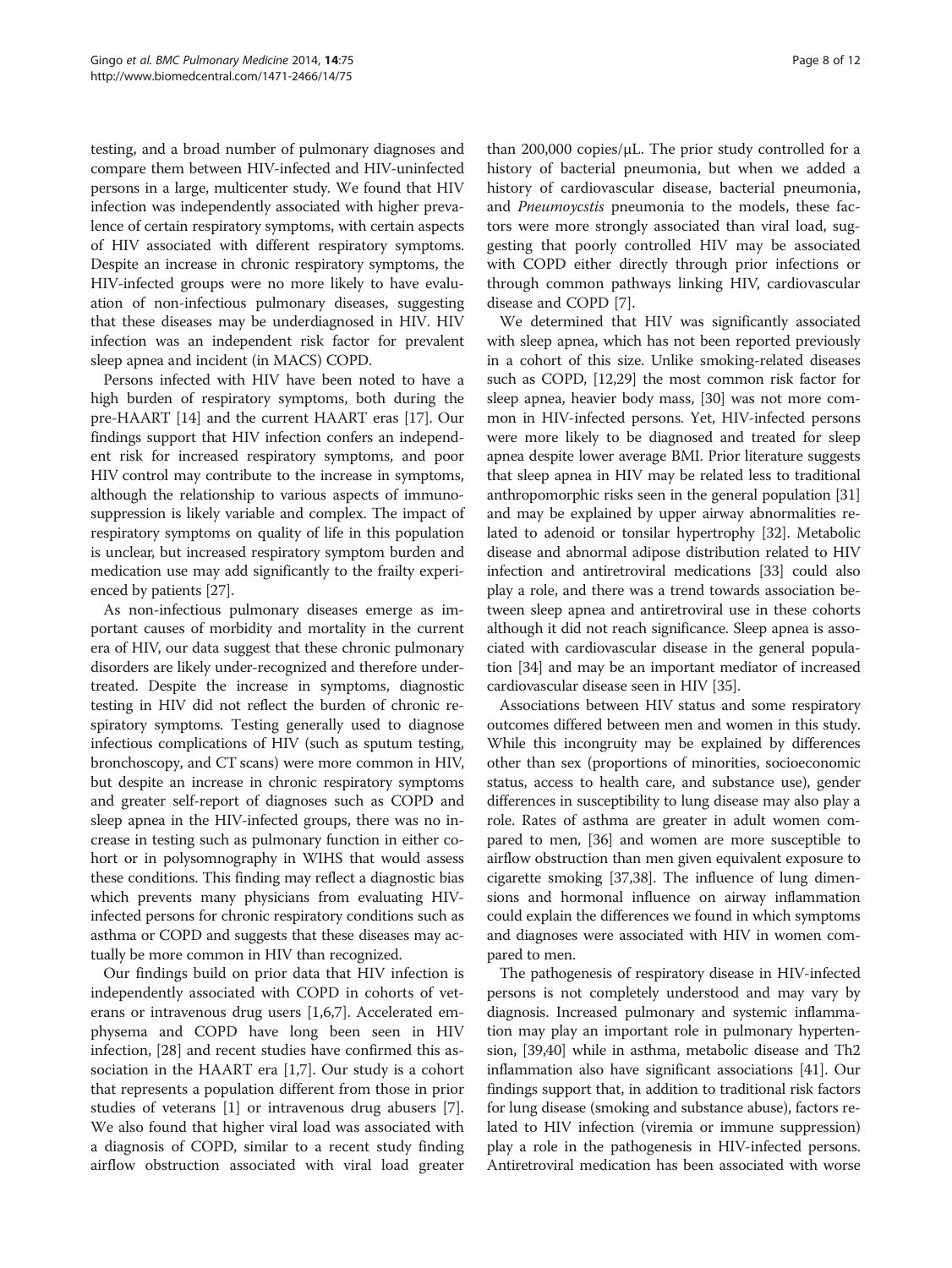testing, and a broad number of pulmonary diagnoses and compare them between HIV-infected and HIV-uninfected persons in a large, multicenter study. We found that HIV infection was independently associated with higher prevalence of certain respiratory symptoms, with certain aspects of HIV associated with different respiratory symptoms. Despite an increase in chronic respiratory symptoms, the HIV-infected groups were no more likely to have evaluation of non-infectious pulmonary diseases, suggesting that these diseases may be underdiagnosed in HIV. HIV infection was an independent risk factor for prevalent sleep apnea and incident (in MACS) COPD.

Persons infected with HIV have been noted to have a high burden of respiratory symptoms, both during the pre-HAART [\[14\]](#page-10-0) and the current HAART eras [\[17](#page-10-0)]. Our findings support that HIV infection confers an independent risk for increased respiratory symptoms, and poor HIV control may contribute to the increase in symptoms, although the relationship to various aspects of immunosuppression is likely variable and complex. The impact of respiratory symptoms on quality of life in this population is unclear, but increased respiratory symptom burden and medication use may add significantly to the frailty experienced by patients [[27](#page-10-0)].

As non-infectious pulmonary diseases emerge as important causes of morbidity and mortality in the current era of HIV, our data suggest that these chronic pulmonary disorders are likely under-recognized and therefore undertreated. Despite the increase in symptoms, diagnostic testing in HIV did not reflect the burden of chronic respiratory symptoms. Testing generally used to diagnose infectious complications of HIV (such as sputum testing, bronchoscopy, and CT scans) were more common in HIV, but despite an increase in chronic respiratory symptoms and greater self-report of diagnoses such as COPD and sleep apnea in the HIV-infected groups, there was no increase in testing such as pulmonary function in either cohort or in polysomnography in WIHS that would assess these conditions. This finding may reflect a diagnostic bias which prevents many physicians from evaluating HIVinfected persons for chronic respiratory conditions such as asthma or COPD and suggests that these diseases may actually be more common in HIV than recognized.

Our findings build on prior data that HIV infection is independently associated with COPD in cohorts of veterans or intravenous drug users [\[1,6,7](#page-9-0)]. Accelerated emphysema and COPD have long been seen in HIV infection, [[28\]](#page-10-0) and recent studies have confirmed this association in the HAART era [\[1](#page-9-0),[7](#page-9-0)]. Our study is a cohort that represents a population different from those in prior studies of veterans [[1](#page-9-0)] or intravenous drug abusers [\[7](#page-9-0)]. We also found that higher viral load was associated with a diagnosis of COPD, similar to a recent study finding airflow obstruction associated with viral load greater

than 200,000 copies/μL. The prior study controlled for a history of bacterial pneumonia, but when we added a history of cardiovascular disease, bacterial pneumonia, and Pneumoycstis pneumonia to the models, these factors were more strongly associated than viral load, suggesting that poorly controlled HIV may be associated with COPD either directly through prior infections or through common pathways linking HIV, cardiovascular disease and COPD [\[7](#page-9-0)].

We determined that HIV was significantly associated with sleep apnea, which has not been reported previously in a cohort of this size. Unlike smoking-related diseases such as COPD, [\[12,29](#page-10-0)] the most common risk factor for sleep apnea, heavier body mass, [\[30\]](#page-10-0) was not more common in HIV-infected persons. Yet, HIV-infected persons were more likely to be diagnosed and treated for sleep apnea despite lower average BMI. Prior literature suggests that sleep apnea in HIV may be related less to traditional anthropomorphic risks seen in the general population [[31](#page-10-0)] and may be explained by upper airway abnormalities related to adenoid or tonsilar hypertrophy [[32](#page-10-0)]. Metabolic disease and abnormal adipose distribution related to HIV infection and antiretroviral medications [\[33\]](#page-10-0) could also play a role, and there was a trend towards association between sleep apnea and antiretroviral use in these cohorts although it did not reach significance. Sleep apnea is associated with cardiovascular disease in the general population [\[34\]](#page-10-0) and may be an important mediator of increased cardiovascular disease seen in HIV [[35](#page-10-0)].

Associations between HIV status and some respiratory outcomes differed between men and women in this study. While this incongruity may be explained by differences other than sex (proportions of minorities, socioeconomic status, access to health care, and substance use), gender differences in susceptibility to lung disease may also play a role. Rates of asthma are greater in adult women compared to men, [\[36\]](#page-10-0) and women are more susceptible to airflow obstruction than men given equivalent exposure to cigarette smoking [\[37,38\]](#page-10-0). The influence of lung dimensions and hormonal influence on airway inflammation could explain the differences we found in which symptoms and diagnoses were associated with HIV in women compared to men.

The pathogenesis of respiratory disease in HIV-infected persons is not completely understood and may vary by diagnosis. Increased pulmonary and systemic inflammation may play an important role in pulmonary hypertension, [\[39,40](#page-10-0)] while in asthma, metabolic disease and Th2 inflammation also have significant associations [\[41\]](#page-10-0). Our findings support that, in addition to traditional risk factors for lung disease (smoking and substance abuse), factors related to HIV infection (viremia or immune suppression) play a role in the pathogenesis in HIV-infected persons. Antiretroviral medication has been associated with worse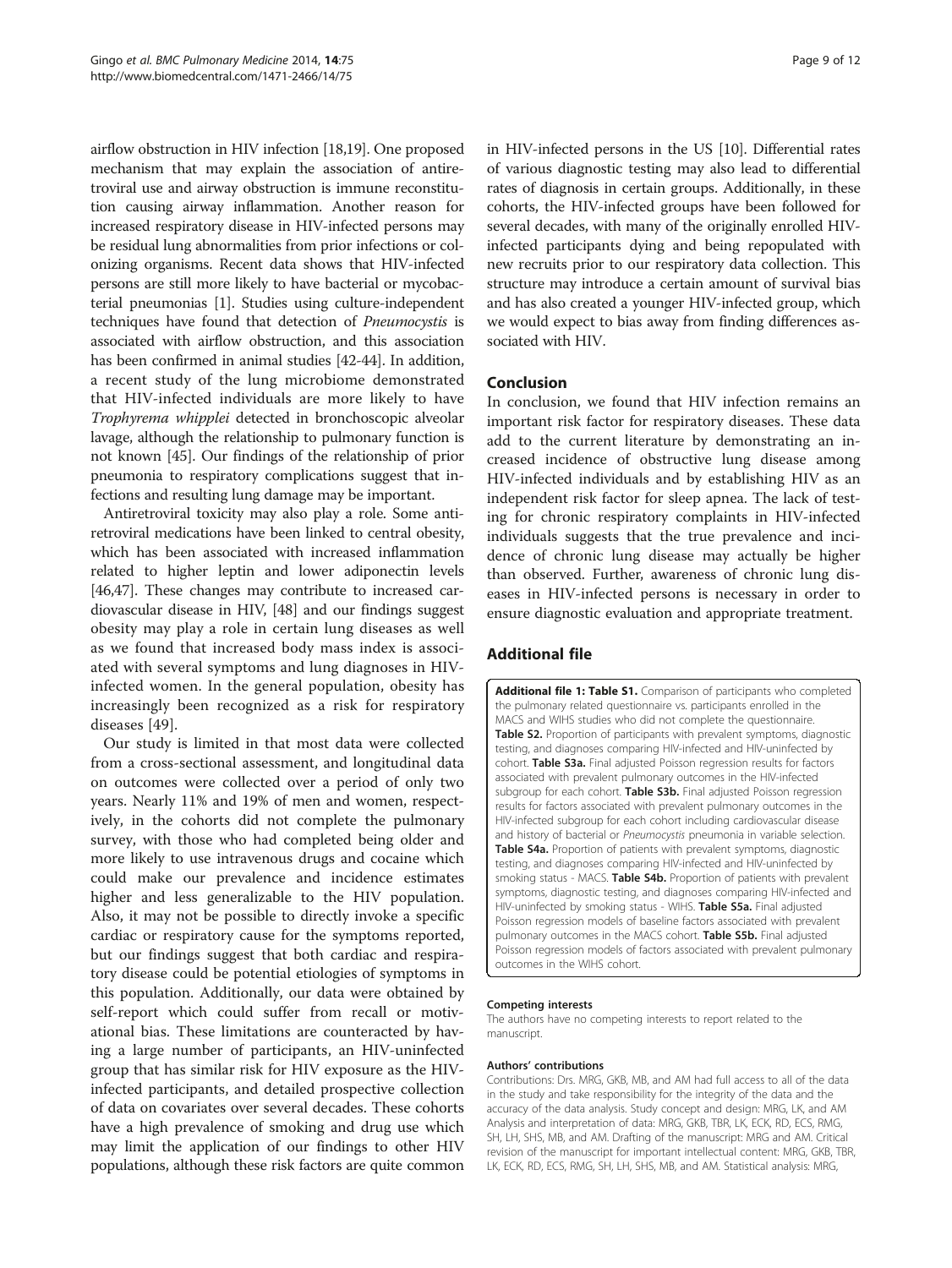<span id="page-8-0"></span>airflow obstruction in HIV infection [\[18,19](#page-10-0)]. One proposed mechanism that may explain the association of antiretroviral use and airway obstruction is immune reconstitution causing airway inflammation. Another reason for increased respiratory disease in HIV-infected persons may be residual lung abnormalities from prior infections or colonizing organisms. Recent data shows that HIV-infected persons are still more likely to have bacterial or mycobacterial pneumonias [\[1\]](#page-9-0). Studies using culture-independent techniques have found that detection of Pneumocystis is associated with airflow obstruction, and this association has been confirmed in animal studies [\[42-44\]](#page-10-0). In addition, a recent study of the lung microbiome demonstrated that HIV-infected individuals are more likely to have Trophyrema whipplei detected in bronchoscopic alveolar lavage, although the relationship to pulmonary function is not known [[45](#page-10-0)]. Our findings of the relationship of prior pneumonia to respiratory complications suggest that infections and resulting lung damage may be important.

Antiretroviral toxicity may also play a role. Some antiretroviral medications have been linked to central obesity, which has been associated with increased inflammation related to higher leptin and lower adiponectin levels [[46,47](#page-10-0)]. These changes may contribute to increased cardiovascular disease in HIV, [[48](#page-10-0)] and our findings suggest obesity may play a role in certain lung diseases as well as we found that increased body mass index is associated with several symptoms and lung diagnoses in HIVinfected women. In the general population, obesity has increasingly been recognized as a risk for respiratory diseases [[49\]](#page-11-0).

Our study is limited in that most data were collected from a cross-sectional assessment, and longitudinal data on outcomes were collected over a period of only two years. Nearly 11% and 19% of men and women, respectively, in the cohorts did not complete the pulmonary survey, with those who had completed being older and more likely to use intravenous drugs and cocaine which could make our prevalence and incidence estimates higher and less generalizable to the HIV population. Also, it may not be possible to directly invoke a specific cardiac or respiratory cause for the symptoms reported, but our findings suggest that both cardiac and respiratory disease could be potential etiologies of symptoms in this population. Additionally, our data were obtained by self-report which could suffer from recall or motivational bias. These limitations are counteracted by having a large number of participants, an HIV-uninfected group that has similar risk for HIV exposure as the HIVinfected participants, and detailed prospective collection of data on covariates over several decades. These cohorts have a high prevalence of smoking and drug use which may limit the application of our findings to other HIV populations, although these risk factors are quite common in HIV-infected persons in the US [[10](#page-10-0)]. Differential rates of various diagnostic testing may also lead to differential rates of diagnosis in certain groups. Additionally, in these cohorts, the HIV-infected groups have been followed for several decades, with many of the originally enrolled HIVinfected participants dying and being repopulated with new recruits prior to our respiratory data collection. This structure may introduce a certain amount of survival bias and has also created a younger HIV-infected group, which we would expect to bias away from finding differences associated with HIV.

# Conclusion

In conclusion, we found that HIV infection remains an important risk factor for respiratory diseases. These data add to the current literature by demonstrating an increased incidence of obstructive lung disease among HIV-infected individuals and by establishing HIV as an independent risk factor for sleep apnea. The lack of testing for chronic respiratory complaints in HIV-infected individuals suggests that the true prevalence and incidence of chronic lung disease may actually be higher than observed. Further, awareness of chronic lung diseases in HIV-infected persons is necessary in order to ensure diagnostic evaluation and appropriate treatment.

# Additional file

[Additional file 1: Table S1.](http://www.biomedcentral.com/content/supplementary/1471-2466-14-75-S1.docx) Comparison of participants who completed the pulmonary related questionnaire vs. participants enrolled in the MACS and WIHS studies who did not complete the questionnaire. Table S2. Proportion of participants with prevalent symptoms, diagnostic testing, and diagnoses comparing HIV-infected and HIV-uninfected by cohort. Table S3a. Final adjusted Poisson regression results for factors associated with prevalent pulmonary outcomes in the HIV-infected subgroup for each cohort. Table S3b. Final adjusted Poisson regression results for factors associated with prevalent pulmonary outcomes in the HIV-infected subgroup for each cohort including cardiovascular disease and history of bacterial or Pneumocystis pneumonia in variable selection. Table S4a. Proportion of patients with prevalent symptoms, diagnostic testing, and diagnoses comparing HIV-infected and HIV-uninfected by smoking status - MACS. Table S4b. Proportion of patients with prevalent symptoms, diagnostic testing, and diagnoses comparing HIV-infected and HIV-uninfected by smoking status - WIHS. Table S5a. Final adjusted Poisson regression models of baseline factors associated with prevalent pulmonary outcomes in the MACS cohort. Table S5b. Final adjusted Poisson regression models of factors associated with prevalent pulmonary outcomes in the WIHS cohort.

#### Competing interests

The authors have no competing interests to report related to the manuscript.

#### Authors' contributions

Contributions: Drs. MRG, GKB, MB, and AM had full access to all of the data in the study and take responsibility for the integrity of the data and the accuracy of the data analysis. Study concept and design: MRG, LK, and AM Analysis and interpretation of data: MRG, GKB, TBR, LK, ECK, RD, ECS, RMG, SH, LH, SHS, MB, and AM. Drafting of the manuscript: MRG and AM. Critical revision of the manuscript for important intellectual content: MRG, GKB, TBR, LK, ECK, RD, ECS, RMG, SH, LH, SHS, MB, and AM. Statistical analysis: MRG,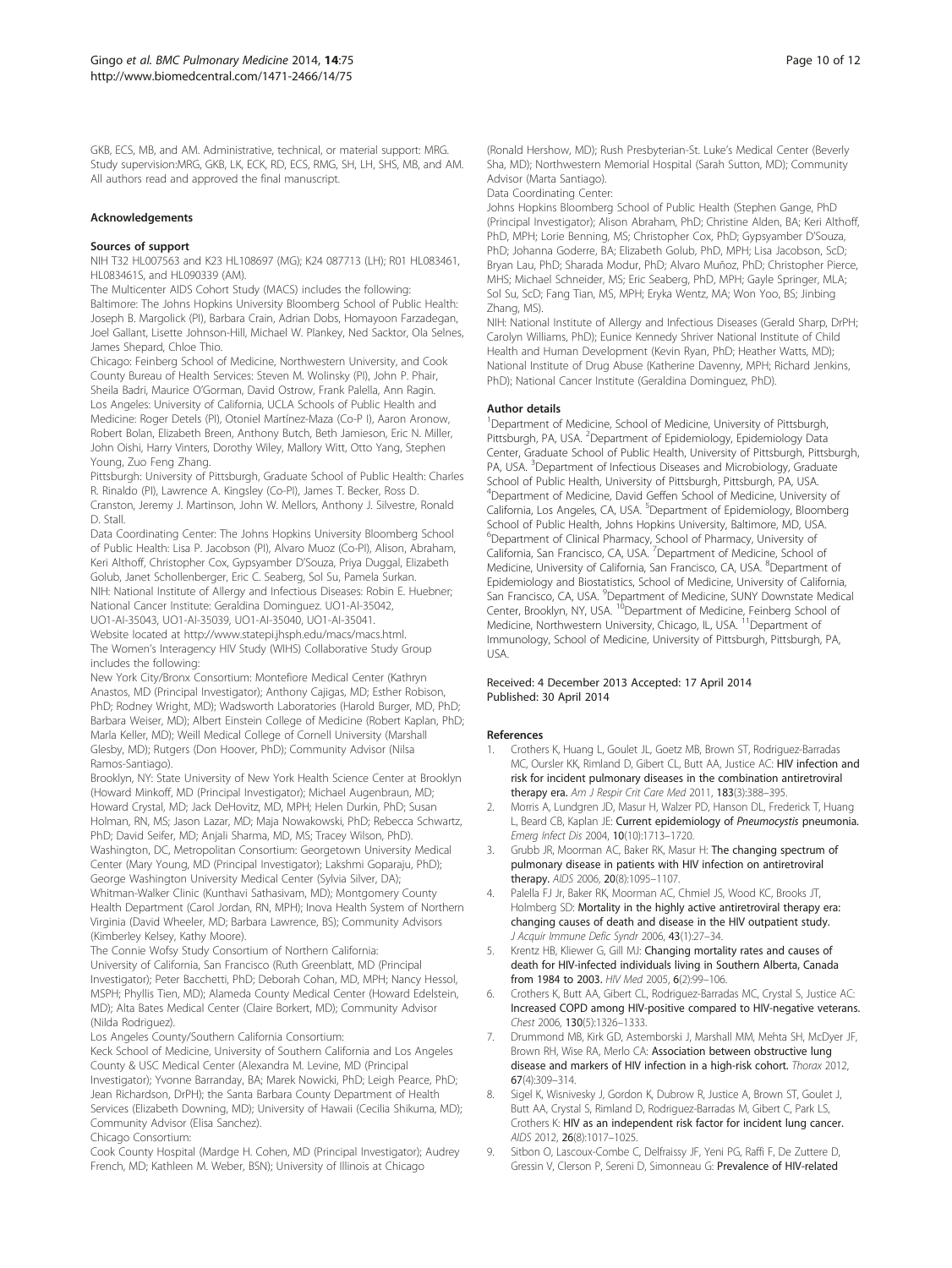<span id="page-9-0"></span>GKB, ECS, MB, and AM. Administrative, technical, or material support: MRG. Study supervision:MRG, GKB, LK, ECK, RD, ECS, RMG, SH, LH, SHS, MB, and AM. All authors read and approved the final manuscript.

#### Acknowledgements

#### Sources of support

NIH T32 HL007563 and K23 HL108697 (MG); K24 087713 (LH); R01 HL083461, HL083461S, and HL090339 (AM).

The Multicenter AIDS Cohort Study (MACS) includes the following: Baltimore: The Johns Hopkins University Bloomberg School of Public Health: Joseph B. Margolick (PI), Barbara Crain, Adrian Dobs, Homayoon Farzadegan, Joel Gallant, Lisette Johnson-Hill, Michael W. Plankey, Ned Sacktor, Ola Selnes, James Shepard, Chloe Thio.

Chicago: Feinberg School of Medicine, Northwestern University, and Cook County Bureau of Health Services: Steven M. Wolinsky (PI), John P. Phair, Sheila Badri, Maurice O'Gorman, David Ostrow, Frank Palella, Ann Ragin. Los Angeles: University of California, UCLA Schools of Public Health and Medicine: Roger Detels (PI), Otoniel Martínez-Maza (Co-P I), Aaron Aronow, Robert Bolan, Elizabeth Breen, Anthony Butch, Beth Jamieson, Eric N. Miller, John Oishi, Harry Vinters, Dorothy Wiley, Mallory Witt, Otto Yang, Stephen Young, Zuo Feng Zhang.

Pittsburgh: University of Pittsburgh, Graduate School of Public Health: Charles R. Rinaldo (PI), Lawrence A. Kingsley (Co-PI), James T. Becker, Ross D. Cranston, Jeremy J. Martinson, John W. Mellors, Anthony J. Silvestre, Ronald D. Stall.

Data Coordinating Center: The Johns Hopkins University Bloomberg School of Public Health: Lisa P. Jacobson (PI), Alvaro Muoz (Co-PI), Alison, Abraham, Keri Althoff, Christopher Cox, Gypsyamber D'Souza, Priya Duggal, Elizabeth Golub, Janet Schollenberger, Eric C. Seaberg, Sol Su, Pamela Surkan. NIH: National Institute of Allergy and Infectious Diseases: Robin E. Huebner; National Cancer Institute: Geraldina Dominguez. UO1-AI-35042, UO1-AI-35043, UO1-AI-35039, UO1-AI-35040, UO1-AI-35041.

Website located at<http://www.statepi.jhsph.edu/macs/macs.html>. The Women's Interagency HIV Study (WIHS) Collaborative Study Group includes the following:

New York City/Bronx Consortium: Montefiore Medical Center (Kathryn Anastos, MD (Principal Investigator); Anthony Cajigas, MD; Esther Robison, PhD; Rodney Wright, MD); Wadsworth Laboratories (Harold Burger, MD, PhD; Barbara Weiser, MD); Albert Einstein College of Medicine (Robert Kaplan, PhD; Marla Keller, MD); Weill Medical College of Cornell University (Marshall Glesby, MD); Rutgers (Don Hoover, PhD); Community Advisor (Nilsa Ramos-Santiago).

Brooklyn, NY: State University of New York Health Science Center at Brooklyn (Howard Minkoff, MD (Principal Investigator); Michael Augenbraun, MD; Howard Crystal, MD; Jack DeHovitz, MD, MPH; Helen Durkin, PhD; Susan Holman, RN, MS; Jason Lazar, MD; Maja Nowakowski, PhD; Rebecca Schwartz, PhD; David Seifer, MD; Anjali Sharma, MD, MS; Tracey Wilson, PhD). Washington, DC, Metropolitan Consortium: Georgetown University Medical Center (Mary Young, MD (Principal Investigator); Lakshmi Goparaju, PhD); George Washington University Medical Center (Sylvia Silver, DA); Whitman-Walker Clinic (Kunthavi Sathasivam, MD); Montgomery County Health Department (Carol Jordan, RN, MPH); Inova Health System of Northern Virginia (David Wheeler, MD; Barbara Lawrence, BS); Community Advisors (Kimberley Kelsey, Kathy Moore).

The Connie Wofsy Study Consortium of Northern California: University of California, San Francisco (Ruth Greenblatt, MD (Principal Investigator); Peter Bacchetti, PhD; Deborah Cohan, MD, MPH; Nancy Hessol, MSPH; Phyllis Tien, MD); Alameda County Medical Center (Howard Edelstein, MD); Alta Bates Medical Center (Claire Borkert, MD); Community Advisor (Nilda Rodriguez).

Los Angeles County/Southern California Consortium:

Keck School of Medicine, University of Southern California and Los Angeles County & USC Medical Center (Alexandra M. Levine, MD (Principal Investigator); Yvonne Barranday, BA; Marek Nowicki, PhD; Leigh Pearce, PhD; Jean Richardson, DrPH); the Santa Barbara County Department of Health Services (Elizabeth Downing, MD); University of Hawaii (Cecilia Shikuma, MD); Community Advisor (Elisa Sanchez).

Chicago Consortium:

Cook County Hospital (Mardge H. Cohen, MD (Principal Investigator); Audrey French, MD; Kathleen M. Weber, BSN); University of Illinois at Chicago

(Ronald Hershow, MD); Rush Presbyterian-St. Luke's Medical Center (Beverly Sha, MD); Northwestern Memorial Hospital (Sarah Sutton, MD); Community Advisor (Marta Santiago).

Data Coordinating Center:

Johns Hopkins Bloomberg School of Public Health (Stephen Gange, PhD (Principal Investigator); Alison Abraham, PhD; Christine Alden, BA; Keri Althoff, PhD, MPH; Lorie Benning, MS; Christopher Cox, PhD; Gypsyamber D'Souza, PhD; Johanna Goderre, BA; Elizabeth Golub, PhD, MPH; Lisa Jacobson, ScD; Bryan Lau, PhD; Sharada Modur, PhD; Alvaro Muñoz, PhD; Christopher Pierce, MHS; Michael Schneider, MS; Eric Seaberg, PhD, MPH; Gayle Springer, MLA; Sol Su, ScD; Fang Tian, MS, MPH; Eryka Wentz, MA; Won Yoo, BS; Jinbing Zhang, MS).

NIH: National Institute of Allergy and Infectious Diseases (Gerald Sharp, DrPH; Carolyn Williams, PhD); Eunice Kennedy Shriver National Institute of Child Health and Human Development (Kevin Ryan, PhD; Heather Watts, MD); National Institute of Drug Abuse (Katherine Davenny, MPH; Richard Jenkins, PhD); National Cancer Institute (Geraldina Dominguez, PhD).

#### Author details

<sup>1</sup>Department of Medicine, School of Medicine, University of Pittsburgh, Pittsburgh, PA, USA. <sup>2</sup>Department of Epidemiology, Epidemiology Data Center, Graduate School of Public Health, University of Pittsburgh, Pittsburgh, PA, USA. <sup>3</sup>Department of Infectious Diseases and Microbiology, Graduate School of Public Health, University of Pittsburgh, Pittsburgh, PA, USA. 4 Department of Medicine, David Geffen School of Medicine, University of California, Los Angeles, CA, USA. <sup>5</sup>Department of Epidemiology, Bloomberg School of Public Health, Johns Hopkins University, Baltimore, MD, USA. 6 Department of Clinical Pharmacy, School of Pharmacy, University of California, San Francisco, CA, USA. <sup>7</sup>Department of Medicine, School of Medicine, University of California, San Francisco, CA, USA. <sup>8</sup>Department of Epidemiology and Biostatistics, School of Medicine, University of California, San Francisco, CA, USA. <sup>9</sup>Department of Medicine, SUNY Downstate Medical Center, Brooklyn, NY, USA. <sup>10</sup>Department of Medicine, Feinberg School of Medicine, Northwestern University, Chicago, IL, USA.<sup>11</sup>Department of Immunology, School of Medicine, University of Pittsburgh, Pittsburgh, PA, USA.

#### Received: 4 December 2013 Accepted: 17 April 2014 Published: 30 April 2014

#### References

- 1. Crothers K, Huang L, Goulet JL, Goetz MB, Brown ST, Rodriguez-Barradas MC, Oursler KK, Rimland D, Gibert CL, Butt AA, Justice AC: HIV infection and risk for incident pulmonary diseases in the combination antiretroviral therapy era. Am J Respir Crit Care Med 2011, 183(3):388-395.
- 2. Morris A, Lundgren JD, Masur H, Walzer PD, Hanson DL, Frederick T, Huang L, Beard CB, Kaplan JE: Current epidemiology of Pneumocystis pneumonia. Emerg Infect Dis 2004, 10(10):1713–1720.
- Grubb JR, Moorman AC, Baker RK, Masur H: The changing spectrum of pulmonary disease in patients with HIV infection on antiretroviral therapy. AIDS 2006, 20(8):1095–1107.
- Palella FJ Jr, Baker RK, Moorman AC, Chmiel JS, Wood KC, Brooks JT, Holmberg SD: Mortality in the highly active antiretroviral therapy era: changing causes of death and disease in the HIV outpatient study. J Acquir Immune Defic Syndr 2006, 43(1):27–34.
- 5. Krentz HB, Kliewer G, Gill MJ: Changing mortality rates and causes of death for HIV-infected individuals living in Southern Alberta, Canada from 1984 to 2003. HIV Med 2005, 6(2):99-106.
- 6. Crothers K, Butt AA, Gibert CL, Rodriguez-Barradas MC, Crystal S, Justice AC: Increased COPD among HIV-positive compared to HIV-negative veterans. Chest 2006, 130(5):1326–1333.
- 7. Drummond MB, Kirk GD, Astemborski J, Marshall MM, Mehta SH, McDyer JF, Brown RH, Wise RA, Merlo CA: Association between obstructive lung disease and markers of HIV infection in a high-risk cohort. Thorax 2012, 67(4):309–314.
- 8. Sigel K, Wisnivesky J, Gordon K, Dubrow R, Justice A, Brown ST, Goulet J, Butt AA, Crystal S, Rimland D, Rodriguez-Barradas M, Gibert C, Park LS, Crothers K: HIV as an independent risk factor for incident lung cancer. AIDS 2012, 26(8):1017–1025.
- 9. Sitbon O, Lascoux-Combe C, Delfraissy JF, Yeni PG, Raffi F, De Zuttere D, Gressin V, Clerson P, Sereni D, Simonneau G: Prevalence of HIV-related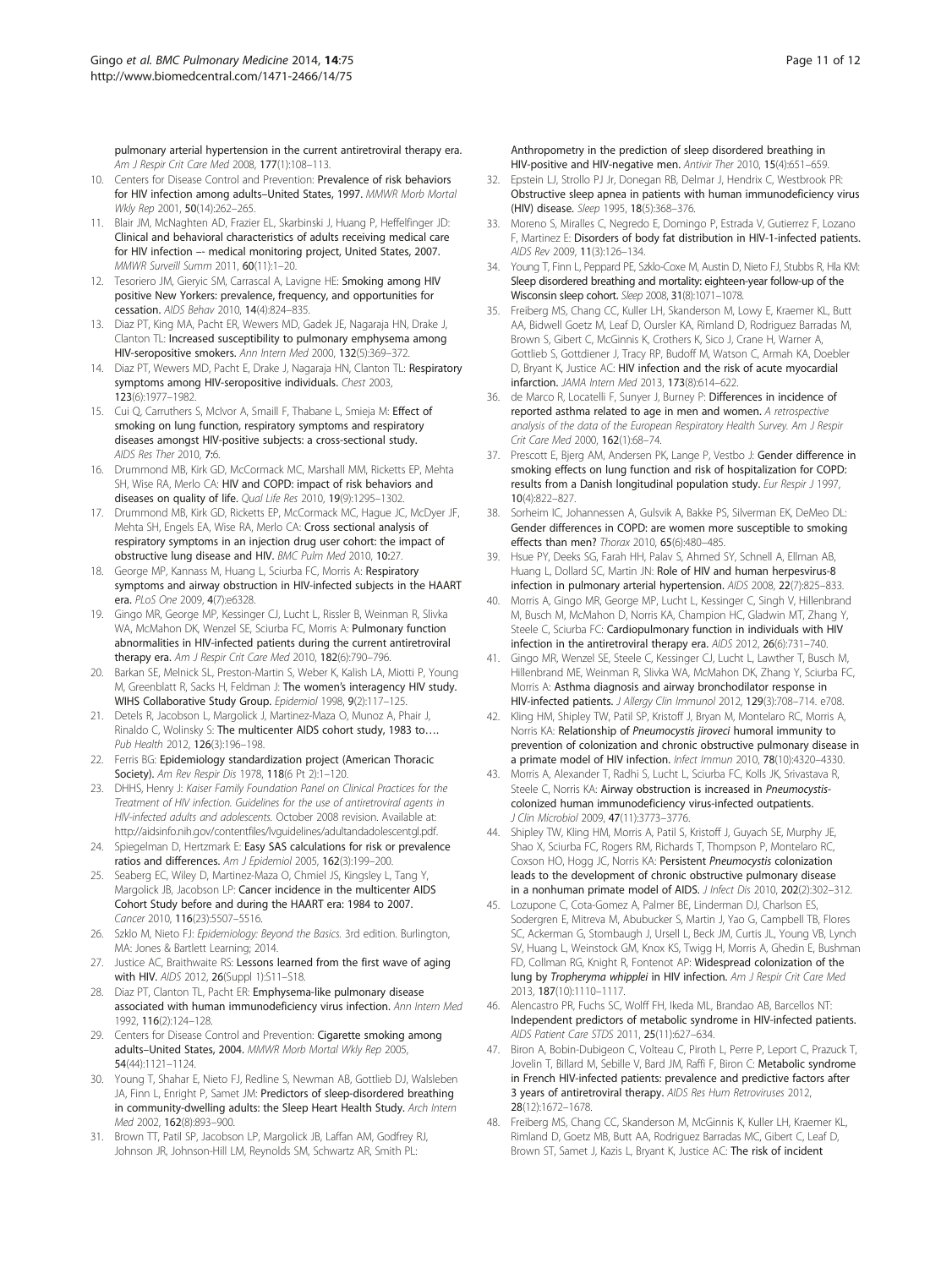<span id="page-10-0"></span>pulmonary arterial hypertension in the current antiretroviral therapy era. Am J Respir Crit Care Med 2008, 177(1):108–113.

- 10. Centers for Disease Control and Prevention: Prevalence of risk behaviors for HIV infection among adults–United States, 1997. MMWR Morb Mortal Wkly Rep 2001, 50(14):262-265.
- 11. Blair JM, McNaghten AD, Frazier EL, Skarbinski J, Huang P, Heffelfinger JD: Clinical and behavioral characteristics of adults receiving medical care for HIV infection –- medical monitoring project, United States, 2007. MMWR Surveill Summ 2011, 60(11):1–20.
- 12. Tesoriero JM, Gieryic SM, Carrascal A, Lavigne HE: Smoking among HIV positive New Yorkers: prevalence, frequency, and opportunities for cessation. AIDS Behav 2010, 14(4):824–835.
- 13. Diaz PT, King MA, Pacht ER, Wewers MD, Gadek JE, Nagaraja HN, Drake J, Clanton TL: Increased susceptibility to pulmonary emphysema among HIV-seropositive smokers. Ann Intern Med 2000, 132(5):369–372.
- 14. Diaz PT, Wewers MD, Pacht E, Drake J, Nagaraja HN, Clanton TL: Respiratory symptoms among HIV-seropositive individuals. Chest 2003, 123(6):1977–1982.
- 15. Cui Q, Carruthers S, McIvor A, Smaill F, Thabane L, Smieja M: Effect of smoking on lung function, respiratory symptoms and respiratory diseases amongst HIV-positive subjects: a cross-sectional study. AIDS Res Ther 2010, 7:6.
- 16. Drummond MB, Kirk GD, McCormack MC, Marshall MM, Ricketts EP, Mehta SH, Wise RA, Merlo CA: HIV and COPD: impact of risk behaviors and diseases on quality of life. Qual Life Res 2010, 19(9):1295–1302.
- 17. Drummond MB, Kirk GD, Ricketts EP, McCormack MC, Hague JC, McDyer JF, Mehta SH, Engels EA, Wise RA, Merlo CA: Cross sectional analysis of respiratory symptoms in an injection drug user cohort: the impact of obstructive lung disease and HIV. BMC Pulm Med 2010, 10:27.
- 18. George MP, Kannass M, Huang L, Sciurba FC, Morris A: Respiratory symptoms and airway obstruction in HIV-infected subjects in the HAART era. PLoS One 2009, 4(7):e6328.
- 19. Gingo MR, George MP, Kessinger CJ, Lucht L, Rissler B, Weinman R, Slivka WA, McMahon DK, Wenzel SE, Sciurba FC, Morris A: Pulmonary function abnormalities in HIV-infected patients during the current antiretroviral therapy era. Am J Respir Crit Care Med 2010, 182(6):790-796.
- 20. Barkan SE, Melnick SL, Preston-Martin S, Weber K, Kalish LA, Miotti P, Young M, Greenblatt R, Sacks H, Feldman J: The women's interagency HIV study. WIHS Collaborative Study Group. Epidemiol 1998, 9(2):117-125
- 21. Detels R, Jacobson L, Margolick J, Martinez-Maza O, Munoz A, Phair J, Rinaldo C, Wolinsky S: The multicenter AIDS cohort study, 1983 to…. Pub Health 2012, 126(3):196–198.
- 22. Ferris BG: Epidemiology standardization project (American Thoracic Society). Am Rev Respir Dis 1978, 118(6 Pt 2):1-120.
- 23. DHHS, Henry J: Kaiser Family Foundation Panel on Clinical Practices for the Treatment of HIV infection. Guidelines for the use of antiretroviral agents in HIV-infected adults and adolescents. October 2008 revision. Available at: [http://aidsinfo.nih.gov/contentfiles/lvguidelines/adultandadolescentgl.pdf.](http://aidsinfo.nih.gov/contentfiles/lvguidelines/adultandadolescentgl.pdf)
- 24. Spiegelman D, Hertzmark E: Easy SAS calculations for risk or prevalence ratios and differences. Am J Epidemiol 2005, 162(3):199–200.
- 25. Seaberg EC, Wiley D, Martinez-Maza O, Chmiel JS, Kingsley L, Tang Y, Margolick JB, Jacobson LP: Cancer incidence in the multicenter AIDS Cohort Study before and during the HAART era: 1984 to 2007. Cancer 2010, 116(23):5507–5516.
- 26. Szklo M, Nieto FJ: Epidemiology: Beyond the Basics. 3rd edition. Burlington, MA: Jones & Bartlett Learning; 2014.
- 27. Justice AC, Braithwaite RS: Lessons learned from the first wave of aging with HIV. AIDS 2012, 26(Suppl 1):S11–S18.
- 28. Diaz PT, Clanton TL, Pacht ER: Emphysema-like pulmonary disease associated with human immunodeficiency virus infection. Ann Intern Med 1992, 116(2):124–128.
- 29. Centers for Disease Control and Prevention: Cigarette smoking among adults–United States, 2004. MMWR Morb Mortal Wkly Rep 2005, 54(44):1121–1124.
- 30. Young T, Shahar E, Nieto FJ, Redline S, Newman AB, Gottlieb DJ, Walsleben JA, Finn L, Enright P, Samet JM: Predictors of sleep-disordered breathing in community-dwelling adults: the Sleep Heart Health Study. Arch Intern Med 2002, 162(8):893–900.
- 31. Brown TT, Patil SP, Jacobson LP, Margolick JB, Laffan AM, Godfrey RJ, Johnson JR, Johnson-Hill LM, Reynolds SM, Schwartz AR, Smith PL:

Anthropometry in the prediction of sleep disordered breathing in HIV-positive and HIV-negative men. Antivir Ther 2010, 15(4):651–659.

- 32. Epstein LJ, Strollo PJ Jr, Donegan RB, Delmar J, Hendrix C, Westbrook PR: Obstructive sleep apnea in patients with human immunodeficiency virus (HIV) disease. Sleep 1995, 18(5):368–376.
- 33. Moreno S, Miralles C, Negredo E, Domingo P, Estrada V, Gutierrez F, Lozano F, Martinez E: Disorders of body fat distribution in HIV-1-infected patients. AIDS Rev 2009, 11(3):126–134.
- 34. Young T, Finn L, Peppard PE, Szklo-Coxe M, Austin D, Nieto FJ, Stubbs R, Hla KM: Sleep disordered breathing and mortality: eighteen-year follow-up of the Wisconsin sleep cohort. Sleep 2008, 31(8):1071–1078.
- 35. Freiberg MS, Chang CC, Kuller LH, Skanderson M, Lowy E, Kraemer KL, Butt AA, Bidwell Goetz M, Leaf D, Oursler KA, Rimland D, Rodriguez Barradas M, Brown S, Gibert C, McGinnis K, Crothers K, Sico J, Crane H, Warner A, Gottlieb S, Gottdiener J, Tracy RP, Budoff M, Watson C, Armah KA, Doebler D, Bryant K, Justice AC: HIV infection and the risk of acute myocardial infarction. JAMA Intern Med 2013, 173(8):614–622.
- 36. de Marco R, Locatelli F, Sunyer J, Burney P: Differences in incidence of reported asthma related to age in men and women. A retrospective analysis of the data of the European Respiratory Health Survey. Am J Respir Crit Care Med 2000, 162(1):68–74.
- 37. Prescott E, Bjerg AM, Andersen PK, Lange P, Vestbo J: Gender difference in smoking effects on lung function and risk of hospitalization for COPD: results from a Danish longitudinal population study. Eur Respir J 1997, 10(4):822–827.
- 38. Sorheim IC, Johannessen A, Gulsvik A, Bakke PS, Silverman EK, DeMeo DL: Gender differences in COPD: are women more susceptible to smoking effects than men? Thorax 2010, 65(6):480–485.
- Hsue PY, Deeks SG, Farah HH, Palav S, Ahmed SY, Schnell A, Ellman AB, Huang L, Dollard SC, Martin JN: Role of HIV and human herpesvirus-8 infection in pulmonary arterial hypertension. AIDS 2008, 22(7):825–833.
- 40. Morris A, Gingo MR, George MP, Lucht L, Kessinger C, Singh V, Hillenbrand M, Busch M, McMahon D, Norris KA, Champion HC, Gladwin MT, Zhang Y, Steele C, Sciurba FC: Cardiopulmonary function in individuals with HIV infection in the antiretroviral therapy era. AIDS 2012, 26(6):731–740.
- 41. Gingo MR, Wenzel SE, Steele C, Kessinger CJ, Lucht L, Lawther T, Busch M, Hillenbrand ME, Weinman R, Slivka WA, McMahon DK, Zhang Y, Sciurba FC, Morris A: Asthma diagnosis and airway bronchodilator response in HIV-infected patients. J Allergy Clin Immunol 2012, 129(3):708–714. e708.
- 42. Kling HM, Shipley TW, Patil SP, Kristoff J, Bryan M, Montelaro RC, Morris A, Norris KA: Relationship of Pneumocystis jiroveci humoral immunity to prevention of colonization and chronic obstructive pulmonary disease in a primate model of HIV infection. Infect Immun 2010, 78(10):4320-4330.
- 43. Morris A, Alexander T, Radhi S, Lucht L, Sciurba FC, Kolls JK, Srivastava R, Steele C, Norris KA: Airway obstruction is increased in Pneumocystiscolonized human immunodeficiency virus-infected outpatients. J Clin Microbiol 2009, 47(11):3773–3776.
- 44. Shipley TW, Kling HM, Morris A, Patil S, Kristoff J, Guyach SE, Murphy JE, Shao X, Sciurba FC, Rogers RM, Richards T, Thompson P, Montelaro RC, Coxson HO, Hogg JC, Norris KA: Persistent Pneumocystis colonization leads to the development of chronic obstructive pulmonary disease in a nonhuman primate model of AIDS. J Infect Dis 2010, 202(2):302–312.
- 45. Lozupone C, Cota-Gomez A, Palmer BE, Linderman DJ, Charlson ES, Sodergren E, Mitreva M, Abubucker S, Martin J, Yao G, Campbell TB, Flores SC, Ackerman G, Stombaugh J, Ursell L, Beck JM, Curtis JL, Young VB, Lynch SV, Huang L, Weinstock GM, Knox KS, Twigg H, Morris A, Ghedin E, Bushman FD, Collman RG, Knight R, Fontenot AP: Widespread colonization of the lung by Tropheryma whipplei in HIV infection. Am J Respir Crit Care Med 2013, 187(10):1110–1117.
- 46. Alencastro PR, Fuchs SC, Wolff FH, Ikeda ML, Brandao AB, Barcellos NT: Independent predictors of metabolic syndrome in HIV-infected patients. AIDS Patient Care STDS 2011, 25(11):627–634.
- 47. Biron A, Bobin-Dubigeon C, Volteau C, Piroth L, Perre P, Leport C, Prazuck T, Jovelin T, Billard M, Sebille V, Bard JM, Raffi F, Biron C: Metabolic syndrome in French HIV-infected patients: prevalence and predictive factors after 3 years of antiretroviral therapy. AIDS Res Hum Retroviruses 2012, 28(12):1672–1678.
- 48. Freiberg MS, Chang CC, Skanderson M, McGinnis K, Kuller LH, Kraemer KL, Rimland D, Goetz MB, Butt AA, Rodriguez Barradas MC, Gibert C, Leaf D, Brown ST, Samet J, Kazis L, Bryant K, Justice AC: The risk of incident